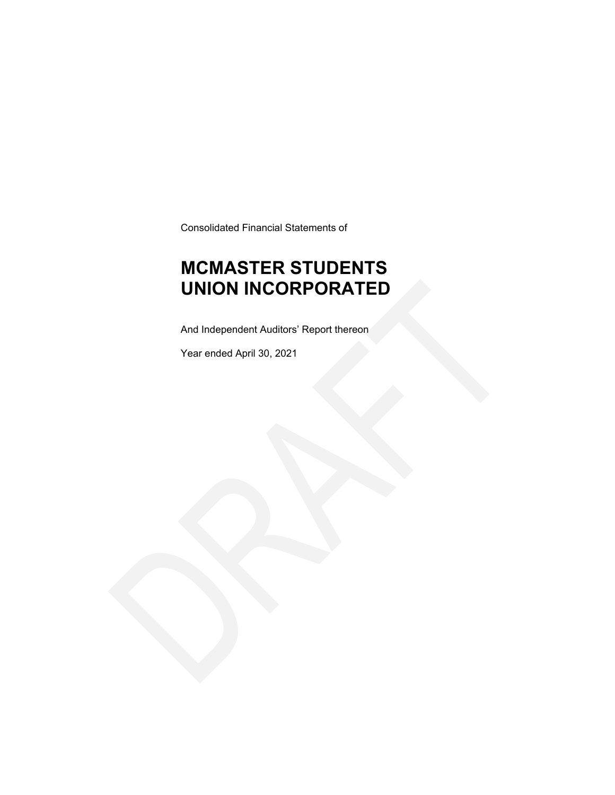Consolidated Financial Statements of

### **MCMASTER STUDENTS UNION INCORPORATED**

And Independent Auditors' Report thereon

Year ended April 30, 2021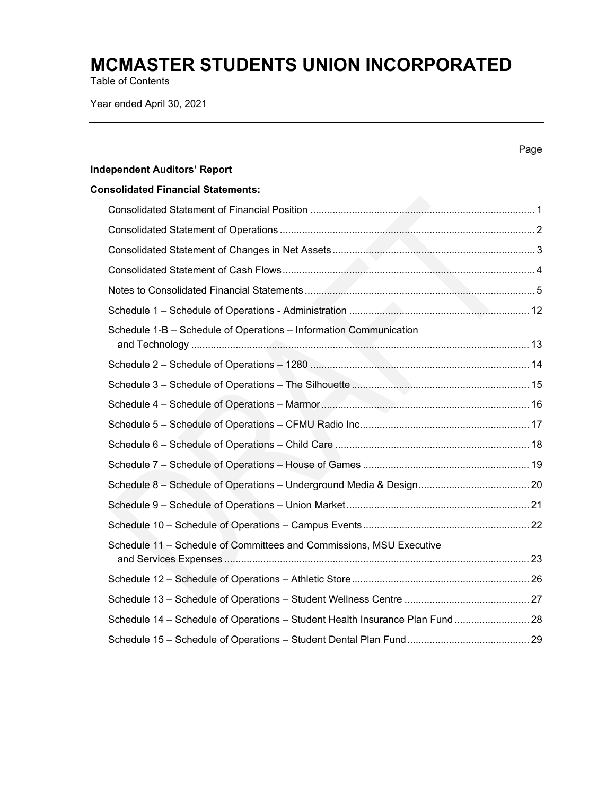Table of Contents

Year ended April 30, 2021

|                                                                               | Page |
|-------------------------------------------------------------------------------|------|
| <b>Independent Auditors' Report</b>                                           |      |
| <b>Consolidated Financial Statements:</b>                                     |      |
|                                                                               |      |
|                                                                               |      |
|                                                                               |      |
|                                                                               |      |
|                                                                               |      |
|                                                                               |      |
| Schedule 1-B - Schedule of Operations - Information Communication             |      |
|                                                                               |      |
|                                                                               |      |
|                                                                               |      |
|                                                                               |      |
|                                                                               |      |
|                                                                               |      |
|                                                                               |      |
|                                                                               |      |
|                                                                               |      |
| Schedule 11 - Schedule of Committees and Commissions, MSU Executive           |      |
|                                                                               |      |
|                                                                               |      |
| Schedule 14 - Schedule of Operations - Student Health Insurance Plan Fund  28 |      |
|                                                                               |      |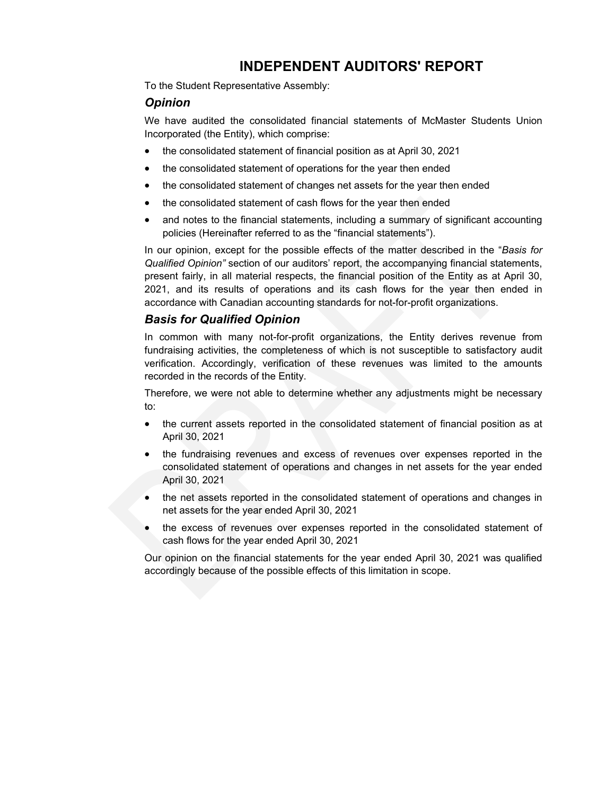### **INDEPENDENT AUDITORS' REPORT**

To the Student Representative Assembly:

### *Opinion*

We have audited the consolidated financial statements of McMaster Students Union Incorporated (the Entity), which comprise:

- the consolidated statement of financial position as at April 30, 2021
- the consolidated statement of operations for the year then ended
- the consolidated statement of changes net assets for the year then ended
- the consolidated statement of cash flows for the year then ended
- and notes to the financial statements, including a summary of significant accounting policies (Hereinafter referred to as the "financial statements").

In our opinion, except for the possible effects of the matter described in the "*Basis for Qualified Opinion"* section of our auditors' report, the accompanying financial statements, present fairly, in all material respects, the financial position of the Entity as at April 30, 2021, and its results of operations and its cash flows for the year then ended in accordance with Canadian accounting standards for not-for-profit organizations.

### *Basis for Qualified Opinion*

In common with many not-for-profit organizations, the Entity derives revenue from fundraising activities, the completeness of which is not susceptible to satisfactory audit verification. Accordingly, verification of these revenues was limited to the amounts recorded in the records of the Entity.

Therefore, we were not able to determine whether any adjustments might be necessary to:

- the current assets reported in the consolidated statement of financial position as at April 30, 2021
- the fundraising revenues and excess of revenues over expenses reported in the consolidated statement of operations and changes in net assets for the year ended April 30, 2021
- the net assets reported in the consolidated statement of operations and changes in net assets for the year ended April 30, 2021
- the excess of revenues over expenses reported in the consolidated statement of cash flows for the year ended April 30, 2021

Our opinion on the financial statements for the year ended April 30, 2021 was qualified accordingly because of the possible effects of this limitation in scope.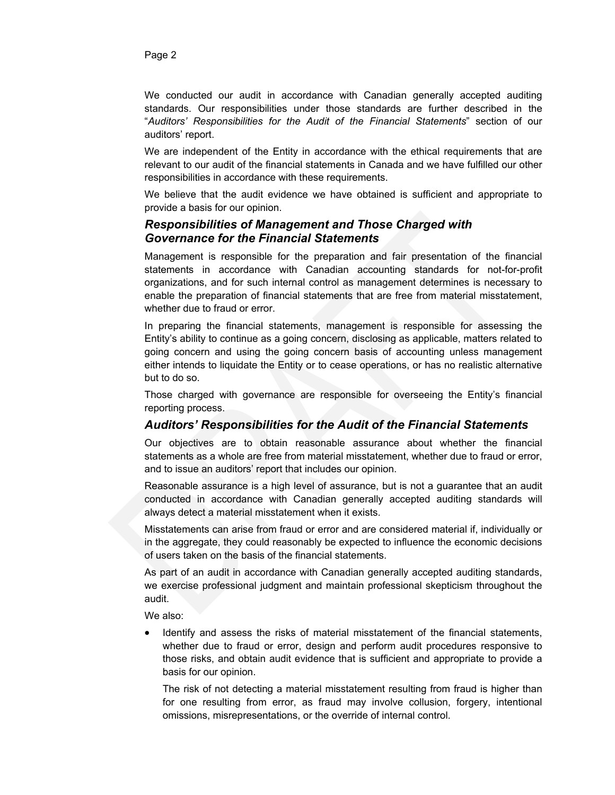We conducted our audit in accordance with Canadian generally accepted auditing standards. Our responsibilities under those standards are further described in the "*Auditors' Responsibilities for the Audit of the Financial Statements*" section of our auditors' report.

We are independent of the Entity in accordance with the ethical requirements that are relevant to our audit of the financial statements in Canada and we have fulfilled our other responsibilities in accordance with these requirements.

We believe that the audit evidence we have obtained is sufficient and appropriate to provide a basis for our opinion.

### *Responsibilities of Management and Those Charged with Governance for the Financial Statements*

Management is responsible for the preparation and fair presentation of the financial statements in accordance with Canadian accounting standards for not-for-profit organizations, and for such internal control as management determines is necessary to enable the preparation of financial statements that are free from material misstatement, whether due to fraud or error.

In preparing the financial statements, management is responsible for assessing the Entity's ability to continue as a going concern, disclosing as applicable, matters related to going concern and using the going concern basis of accounting unless management either intends to liquidate the Entity or to cease operations, or has no realistic alternative but to do so.

Those charged with governance are responsible for overseeing the Entity's financial reporting process.

### *Auditors' Responsibilities for the Audit of the Financial Statements*

Our objectives are to obtain reasonable assurance about whether the financial statements as a whole are free from material misstatement, whether due to fraud or error, and to issue an auditors' report that includes our opinion.

Reasonable assurance is a high level of assurance, but is not a guarantee that an audit conducted in accordance with Canadian generally accepted auditing standards will always detect a material misstatement when it exists.

Misstatements can arise from fraud or error and are considered material if, individually or in the aggregate, they could reasonably be expected to influence the economic decisions of users taken on the basis of the financial statements.

As part of an audit in accordance with Canadian generally accepted auditing standards, we exercise professional judgment and maintain professional skepticism throughout the audit.

We also:

 Identify and assess the risks of material misstatement of the financial statements, whether due to fraud or error, design and perform audit procedures responsive to those risks, and obtain audit evidence that is sufficient and appropriate to provide a basis for our opinion.

The risk of not detecting a material misstatement resulting from fraud is higher than for one resulting from error, as fraud may involve collusion, forgery, intentional omissions, misrepresentations, or the override of internal control.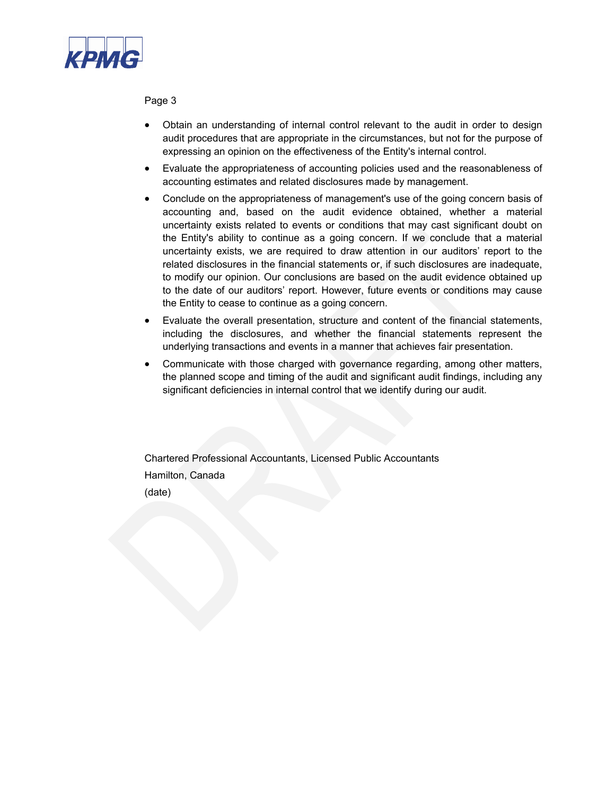

Page 3

- Obtain an understanding of internal control relevant to the audit in order to design audit procedures that are appropriate in the circumstances, but not for the purpose of expressing an opinion on the effectiveness of the Entity's internal control.
- Evaluate the appropriateness of accounting policies used and the reasonableness of accounting estimates and related disclosures made by management.
- Conclude on the appropriateness of management's use of the going concern basis of accounting and, based on the audit evidence obtained, whether a material uncertainty exists related to events or conditions that may cast significant doubt on the Entity's ability to continue as a going concern. If we conclude that a material uncertainty exists, we are required to draw attention in our auditors' report to the related disclosures in the financial statements or, if such disclosures are inadequate, to modify our opinion. Our conclusions are based on the audit evidence obtained up to the date of our auditors' report. However, future events or conditions may cause the Entity to cease to continue as a going concern.
- Evaluate the overall presentation, structure and content of the financial statements, including the disclosures, and whether the financial statements represent the underlying transactions and events in a manner that achieves fair presentation.
- Communicate with those charged with governance regarding, among other matters, the planned scope and timing of the audit and significant audit findings, including any significant deficiencies in internal control that we identify during our audit.

Chartered Professional Accountants, Licensed Public Accountants Hamilton, Canada (date)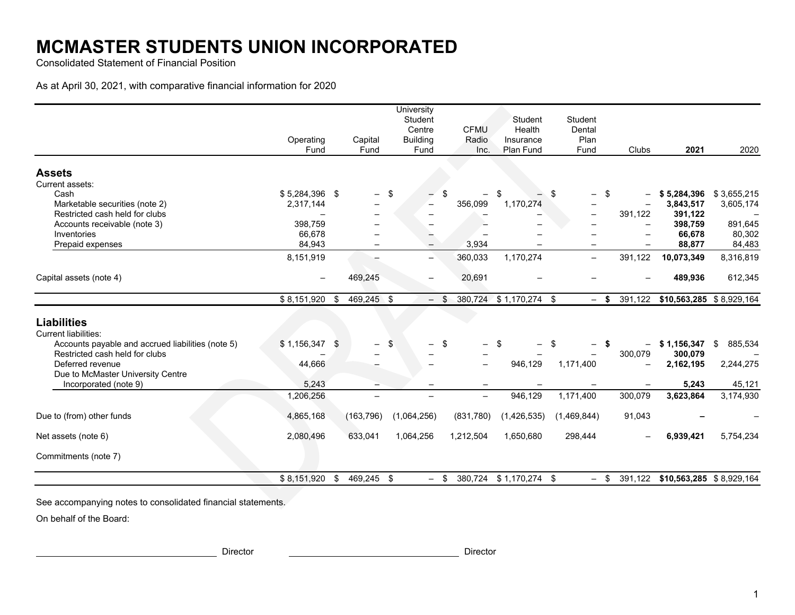Consolidated Statement of Financial Position

As at April 30, 2021, with comparative financial information for 2020

|                                                       | Operating<br>Fund        | Capital<br>Fund          |    | University<br>Student<br>Centre<br><b>Building</b><br>Fund |               | <b>CFMU</b><br>Radio<br>Inc. | Student<br>Health<br>Insurance<br>Plan Fund |    | Student<br>Dental<br>Plan<br>Fund |    | Clubs                    | 2021                             | 2020                     |
|-------------------------------------------------------|--------------------------|--------------------------|----|------------------------------------------------------------|---------------|------------------------------|---------------------------------------------|----|-----------------------------------|----|--------------------------|----------------------------------|--------------------------|
|                                                       |                          |                          |    |                                                            |               |                              |                                             |    |                                   |    |                          |                                  |                          |
| <b>Assets</b>                                         |                          |                          |    |                                                            |               |                              |                                             |    |                                   |    |                          |                                  |                          |
| Current assets:<br>Cash                               | $$5,284,396$ \$          |                          | \$ |                                                            |               |                              | \$.                                         | \$ |                                   | \$ |                          |                                  |                          |
| Marketable securities (note 2)                        | 2,317,144                | -                        |    |                                                            |               | 356,099                      | 1,170,274                                   |    | -                                 |    |                          | \$5,284,396<br>3,843,517         | \$3,655,215<br>3,605,174 |
| Restricted cash held for clubs                        |                          |                          |    |                                                            |               |                              |                                             |    |                                   |    | 391,122                  | 391,122                          |                          |
| Accounts receivable (note 3)                          | 398,759                  |                          |    |                                                            |               |                              |                                             |    |                                   |    |                          | 398,759                          | 891,645                  |
| Inventories                                           | 66,678                   |                          |    |                                                            |               |                              |                                             |    |                                   |    |                          | 66,678                           | 80,302                   |
| Prepaid expenses                                      | 84,943                   |                          |    |                                                            |               | 3,934                        |                                             |    |                                   |    |                          | 88,877                           | 84,483                   |
|                                                       | 8,151,919                | $\equiv$                 |    | $\overline{\phantom{0}}$                                   |               | 360,033                      | 1,170,274                                   |    | $\overline{\phantom{0}}$          |    | 391,122                  | 10,073,349                       | 8,316,819                |
|                                                       |                          |                          |    |                                                            |               |                              |                                             |    |                                   |    |                          |                                  |                          |
| Capital assets (note 4)                               | $\overline{\phantom{0}}$ | 469,245                  |    |                                                            |               | 20,691                       |                                             |    |                                   |    |                          | 489,936                          | 612,345                  |
|                                                       | \$8,151,920              | \$<br>469,245 \$         |    |                                                            | $\sqrt[6]{2}$ | 380,724                      | $$1,170,274$ \$                             |    | $-$ \$                            |    | 391,122                  | \$10,563,285 \$8,929,164         |                          |
| <b>Liabilities</b><br><b>Current liabilities:</b>     |                          |                          |    |                                                            |               |                              |                                             |    |                                   |    |                          |                                  |                          |
| Accounts payable and accrued liabilities (note 5)     | \$1,156,347              | \$                       | -S |                                                            | \$            |                              | \$                                          | £. |                                   | S. | $\overline{\phantom{0}}$ | \$1,156,347                      | 885,534<br>\$            |
| Restricted cash held for clubs                        |                          |                          |    |                                                            |               |                              |                                             |    |                                   |    | 300,079                  | 300,079                          |                          |
| Deferred revenue<br>Due to McMaster University Centre | 44,666                   |                          |    |                                                            |               |                              | 946,129                                     |    | 1,171,400                         |    |                          | 2,162,195                        | 2,244,275                |
| Incorporated (note 9)                                 | 5,243                    |                          |    |                                                            |               |                              |                                             |    |                                   |    |                          | 5,243                            | 45,121                   |
|                                                       | 1,206,256                | $\overline{\phantom{0}}$ |    |                                                            |               | $\equiv$                     | 946,129                                     |    | 1,171,400                         |    | 300,079                  | 3,623,864                        | 3,174,930                |
| Due to (from) other funds                             | 4,865,168                | (163, 796)               |    | (1,064,256)                                                |               | (831,780)                    | (1,426,535)                                 |    | (1,469,844)                       |    | 91,043                   |                                  |                          |
| Net assets (note 6)                                   | 2,080,496                | 633,041                  |    | 1,064,256                                                  |               | 1,212,504                    | 1,650,680                                   |    | 298,444                           |    |                          | 6,939,421                        | 5,754,234                |
| Commitments (note 7)                                  |                          |                          |    |                                                            |               |                              |                                             |    |                                   |    |                          |                                  |                          |
|                                                       | \$8,151,920              | \$<br>469,245 \$         |    | $-$ \$                                                     |               |                              | 380,724 \$1,170,274 \$                      |    | $-$ \$                            |    |                          | 391,122 \$10,563,285 \$8,929,164 |                          |

See accompanying notes to consolidated financial statements.

On behalf of the Board:

Director Director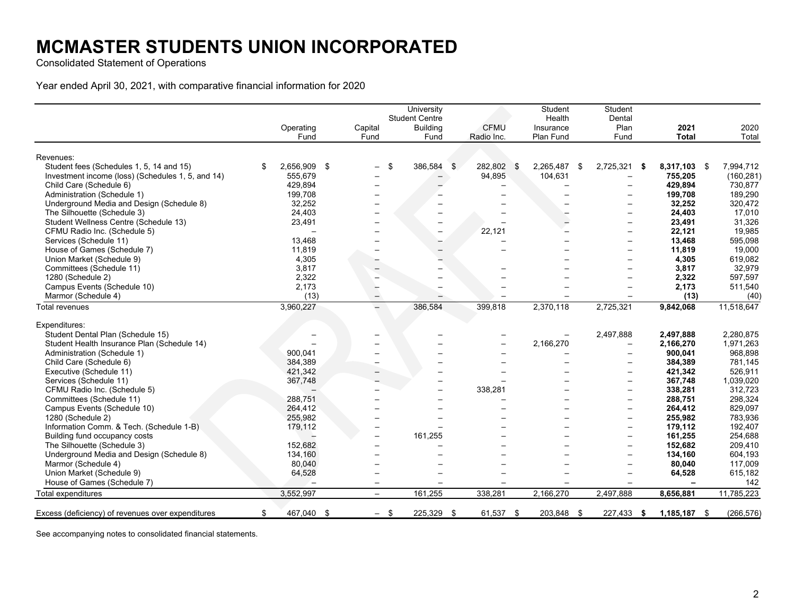Consolidated Statement of Operations

Year ended April 30, 2021, with comparative financial information for 2020

|                                                   |                    |                          | University               |                  | Student      | Student                  |     |                |            |
|---------------------------------------------------|--------------------|--------------------------|--------------------------|------------------|--------------|--------------------------|-----|----------------|------------|
|                                                   |                    |                          | <b>Student Centre</b>    |                  | Health       | Dental                   |     |                |            |
|                                                   | Operating          | Capital                  | <b>Building</b>          | <b>CFMU</b>      | Insurance    | Plan                     |     | 2021           | 2020       |
|                                                   | Fund               | Fund                     | Fund                     | Radio Inc.       | Plan Fund    | Fund                     |     | <b>Total</b>   | Total      |
| Revenues:                                         |                    |                          |                          |                  |              |                          |     |                |            |
| Student fees (Schedules 1, 5, 14 and 15)          | \$<br>2,656,909 \$ |                          | \$<br>386,584            | \$<br>282,802 \$ | 2,265,487 \$ | 2,725,321                | - 5 | 8,317,103 \$   | 7,994,712  |
| Investment income (loss) (Schedules 1, 5, and 14) | 555,679            |                          |                          | 94,895           | 104,631      |                          |     | 755,205        | (160, 281) |
| Child Care (Schedule 6)                           | 429,894            |                          |                          |                  |              |                          |     | 429,894        | 730,877    |
| Administration (Schedule 1)                       | 199,708            |                          |                          |                  |              |                          |     | 199,708        | 189,290    |
| Underground Media and Design (Schedule 8)         | 32,252             |                          |                          |                  |              | $\overline{\phantom{0}}$ |     | 32,252         | 320,472    |
| The Silhouette (Schedule 3)                       | 24,403             |                          |                          |                  |              |                          |     | 24,403         | 17,010     |
| Student Wellness Centre (Schedule 13)             | 23,491             |                          |                          |                  |              | $\overline{\phantom{0}}$ |     | 23,491         | 31,326     |
| CFMU Radio Inc. (Schedule 5)                      |                    |                          |                          | 22,121           |              | $\overline{\phantom{m}}$ |     | 22,121         | 19,985     |
| Services (Schedule 11)                            | 13,468             |                          |                          |                  |              |                          |     | 13,468         | 595,098    |
| House of Games (Schedule 7)                       | 11,819             |                          |                          |                  |              | $\overline{\phantom{0}}$ |     | 11,819         | 19,000     |
| Union Market (Schedule 9)                         | 4,305              |                          |                          |                  |              | $\overline{\phantom{0}}$ |     | 4,305          | 619,082    |
| Committees (Schedule 11)                          | 3,817              |                          |                          |                  |              |                          |     | 3,817          | 32,979     |
| 1280 (Schedule 2)                                 | 2,322              |                          |                          |                  |              |                          |     | 2,322          | 597,597    |
| Campus Events (Schedule 10)                       | 2,173              |                          |                          |                  |              | $\overline{\phantom{0}}$ |     | 2,173          | 511,540    |
| Marmor (Schedule 4)                               | (13)               |                          |                          |                  |              |                          |     | (13)           | (40)       |
| Total revenues                                    | 3,960,227          |                          | 386,584                  | 399,818          | 2,370,118    | 2,725,321                |     | 9,842,068      | 11,518,647 |
| Expenditures:                                     |                    |                          |                          |                  |              |                          |     |                |            |
| Student Dental Plan (Schedule 15)                 |                    |                          |                          |                  |              | 2,497,888                |     | 2,497,888      | 2,280,875  |
| Student Health Insurance Plan (Schedule 14)       |                    |                          |                          |                  | 2,166,270    | $\overline{\phantom{m}}$ |     | 2,166,270      | 1,971,263  |
| Administration (Schedule 1)                       | 900,041            |                          |                          |                  |              |                          |     | 900,041        | 968,898    |
| Child Care (Schedule 6)                           | 384,389            |                          |                          |                  |              | $\overline{\phantom{0}}$ |     | 384.389        | 781,145    |
| Executive (Schedule 11)                           | 421,342            |                          |                          |                  |              | $\overline{\phantom{m}}$ |     | 421,342        | 526,911    |
| Services (Schedule 11)                            | 367,748            |                          |                          |                  |              |                          |     | 367,748        | 1,039,020  |
| CFMU Radio Inc. (Schedule 5)                      |                    |                          |                          | 338,281          |              | $\overline{\phantom{0}}$ |     | 338,281        | 312,723    |
| Committees (Schedule 11)                          | 288,751            |                          | $\overline{\phantom{0}}$ |                  |              | $\overline{\phantom{m}}$ |     | 288,751        | 298,324    |
| Campus Events (Schedule 10)                       | 264,412            |                          |                          |                  |              | $\overline{\phantom{0}}$ |     | 264,412        | 829,097    |
| 1280 (Schedule 2)                                 | 255,982            |                          |                          |                  |              | $\overline{\phantom{a}}$ |     | 255,982        | 783,936    |
| Information Comm. & Tech. (Schedule 1-B)          | 179,112            | $\overline{\phantom{0}}$ |                          |                  |              | $\overline{\phantom{m}}$ |     | 179,112        | 192,407    |
| Building fund occupancy costs                     |                    |                          | 161,255                  |                  |              | $\overline{\phantom{0}}$ |     | 161,255        | 254,688    |
| The Silhouette (Schedule 3)                       | 152,682            |                          |                          |                  |              | $\overline{\phantom{0}}$ |     | 152,682        | 209,410    |
| Underground Media and Design (Schedule 8)         | 134,160            |                          |                          |                  |              |                          |     | 134,160        | 604,193    |
| Marmor (Schedule 4)                               | 80,040             |                          |                          |                  |              |                          |     | 80,040         | 117,009    |
| Union Market (Schedule 9)                         | 64,528             |                          |                          |                  |              |                          |     | 64,528         | 615,182    |
| House of Games (Schedule 7)                       |                    |                          |                          |                  |              |                          |     |                | 142        |
| Total expenditures                                |                    | $\overline{\phantom{0}}$ | 161,255                  | 338,281          | 2,166,270    |                          |     |                | 11,785,223 |
|                                                   | 3,552,997          |                          |                          |                  |              | 2,497,888                |     | 8,656,881      |            |
| Excess (deficiency) of revenues over expenditures | \$<br>467,040 \$   | $-$ \$                   | 225,329                  | \$<br>61,537 \$  | 203,848 \$   | 227,433                  | -\$ | $1,185,187$ \$ | (266, 576) |

See accompanying notes to consolidated financial statements.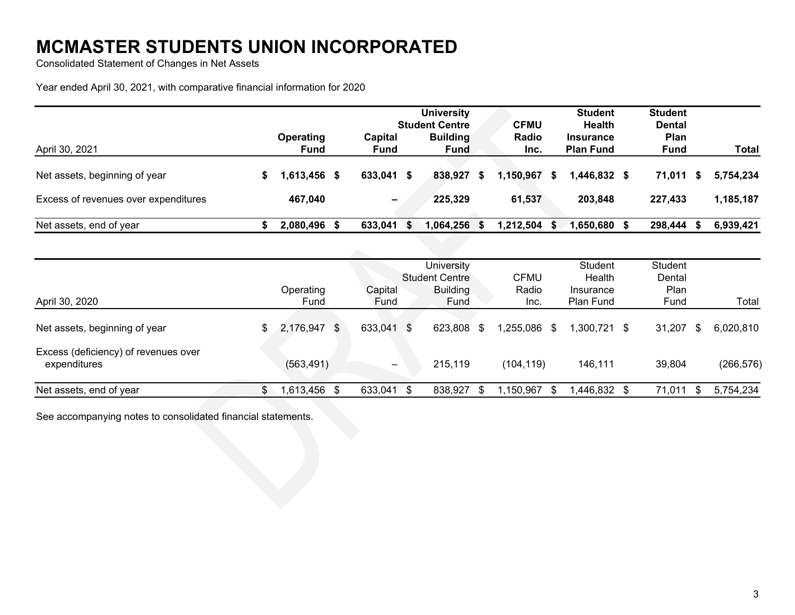Consolidated Statement of Changes in Net Assets

Year ended April 30, 2021, with comparative financial information for 2020

|                                      |                                 |    |                          | <b>University</b><br><b>Student Centre</b> |   | <b>CFMU</b>   |    | <b>Student</b><br>Health             | <b>Student</b><br><b>Dental</b> |           |
|--------------------------------------|---------------------------------|----|--------------------------|--------------------------------------------|---|---------------|----|--------------------------------------|---------------------------------|-----------|
| April 30, 2021                       | <b>Operating</b><br><b>Fund</b> |    | Capital<br><b>Fund</b>   | <b>Building</b><br><b>Fund</b>             |   | Radio<br>Inc. |    | <b>Insurance</b><br><b>Plan Fund</b> | Plan<br><b>Fund</b>             | Total     |
| Net assets, beginning of year        | 1,613,456                       | S. | 633,041 \$               | 838,927                                    | S | 1,150,967     | S. | $1,446,832$ \$                       | 71,011<br>- 56                  | 5.754.234 |
| Excess of revenues over expenditures | 467,040                         |    | $\overline{\phantom{0}}$ | 225,329                                    |   | 61,537        |    | 203.848                              | 227,433                         | 1,185,187 |
| Net assets, end of year              | 2,080,496                       |    | 633,041                  | 1,064,256                                  |   | 1,212,504     | S. | 1,650,680 \$                         | 298,444                         | 6,939,421 |

| April 30, 2020                                       | Operating<br><b>Fund</b> |                | Capital<br>Fund              |      | University<br><b>Student Centre</b><br><b>Building</b><br>Fund | <b>CFMU</b><br>Radio<br>Inc. | <b>Student</b><br>Health<br>Insurance<br>Plan Fund | Student<br>Dental<br>Plan<br>Fund | Total           |
|------------------------------------------------------|--------------------------|----------------|------------------------------|------|----------------------------------------------------------------|------------------------------|----------------------------------------------------|-----------------------------------|-----------------|
| Net assets, beginning of year                        | \$<br>2,176,947          | $\mathfrak{L}$ | 633,041                      | -S   | 623,808 \$                                                     | 1,255,086<br>\$              | 1,300,721 \$                                       | 31,207                            | \$<br>6,020,810 |
| Excess (deficiency) of revenues over<br>expenditures | (563, 491)               |                | $\qquad \qquad \blacksquare$ |      | 215,119                                                        | (104, 119)                   | 146,111                                            | 39,804                            | (266, 576)      |
| Net assets, end of year                              | ,613,456                 | S              | 633,041                      | - \$ | 838,927                                                        | 1,150,967<br>\$              | $,446,832$ \$                                      | 71,011                            | 5,754,234       |

See accompanying notes to consolidated financial statements.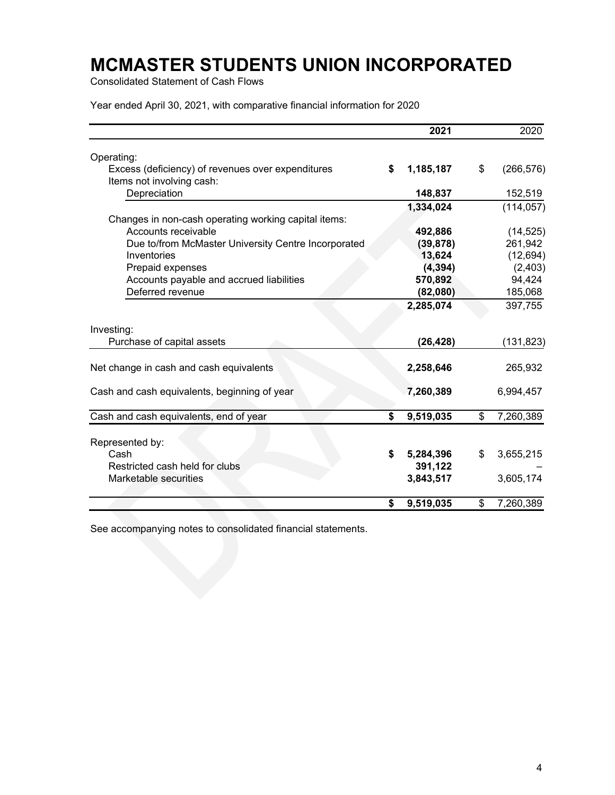Consolidated Statement of Cash Flows

Year ended April 30, 2021, with comparative financial information for 2020

|                                                                                | 2021            | 2020             |
|--------------------------------------------------------------------------------|-----------------|------------------|
| Operating:                                                                     |                 |                  |
| Excess (deficiency) of revenues over expenditures<br>Items not involving cash: | \$<br>1,185,187 | \$<br>(266, 576) |
| Depreciation                                                                   | 148,837         | 152,519          |
|                                                                                | 1,334,024       | (114, 057)       |
| Changes in non-cash operating working capital items:                           |                 |                  |
| Accounts receivable                                                            | 492,886         | (14, 525)        |
| Due to/from McMaster University Centre Incorporated                            | (39, 878)       | 261,942          |
| Inventories                                                                    | 13,624          | (12, 694)        |
| Prepaid expenses                                                               | (4, 394)        | (2, 403)         |
| Accounts payable and accrued liabilities                                       | 570,892         | 94,424           |
| Deferred revenue                                                               | (82,080)        | 185,068          |
|                                                                                | 2,285,074       | 397,755          |
| Investing:                                                                     |                 |                  |
| Purchase of capital assets                                                     | (26, 428)       | (131,823)        |
| Net change in cash and cash equivalents                                        | 2,258,646       | 265,932          |
| Cash and cash equivalents, beginning of year                                   | 7,260,389       | 6,994,457        |
| Cash and cash equivalents, end of year                                         | \$<br>9,519,035 | \$<br>7,260,389  |
|                                                                                |                 |                  |
| Represented by:                                                                |                 |                  |
| Cash                                                                           | \$<br>5,284,396 | \$<br>3,655,215  |
| Restricted cash held for clubs                                                 | 391,122         |                  |
| Marketable securities                                                          | 3,843,517       | 3,605,174        |
|                                                                                | \$<br>9,519,035 | \$<br>7,260,389  |

See accompanying notes to consolidated financial statements.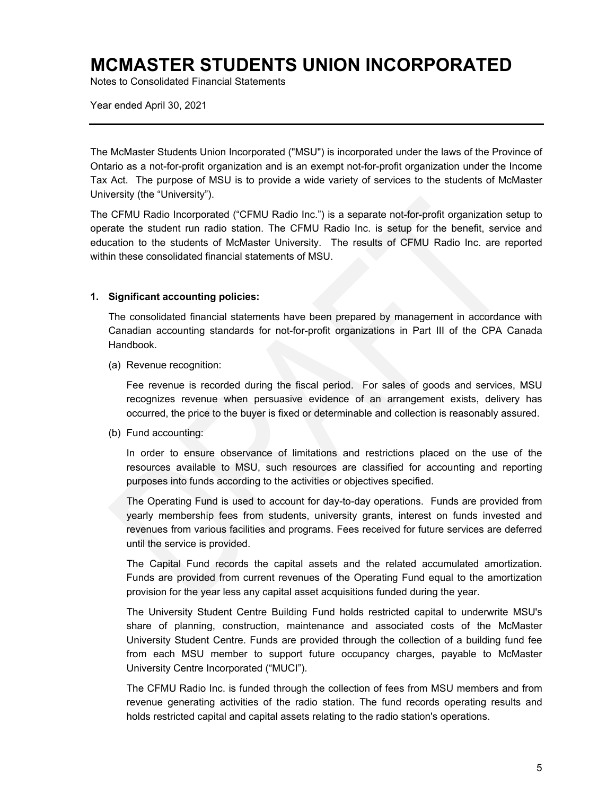Notes to Consolidated Financial Statements

Year ended April 30, 2021

The McMaster Students Union Incorporated ("MSU") is incorporated under the laws of the Province of Ontario as a not-for-profit organization and is an exempt not-for-profit organization under the Income Tax Act. The purpose of MSU is to provide a wide variety of services to the students of McMaster University (the "University").

The CFMU Radio Incorporated ("CFMU Radio Inc.") is a separate not-for-profit organization setup to operate the student run radio station. The CFMU Radio Inc. is setup for the benefit, service and education to the students of McMaster University. The results of CFMU Radio Inc. are reported within these consolidated financial statements of MSU.

#### **1. Significant accounting policies:**

The consolidated financial statements have been prepared by management in accordance with Canadian accounting standards for not-for-profit organizations in Part III of the CPA Canada Handbook.

(a) Revenue recognition:

Fee revenue is recorded during the fiscal period. For sales of goods and services, MSU recognizes revenue when persuasive evidence of an arrangement exists, delivery has occurred, the price to the buyer is fixed or determinable and collection is reasonably assured.

(b) Fund accounting:

In order to ensure observance of limitations and restrictions placed on the use of the resources available to MSU, such resources are classified for accounting and reporting purposes into funds according to the activities or objectives specified.

The Operating Fund is used to account for day-to-day operations. Funds are provided from yearly membership fees from students, university grants, interest on funds invested and revenues from various facilities and programs. Fees received for future services are deferred until the service is provided.

The Capital Fund records the capital assets and the related accumulated amortization. Funds are provided from current revenues of the Operating Fund equal to the amortization provision for the year less any capital asset acquisitions funded during the year.

The University Student Centre Building Fund holds restricted capital to underwrite MSU's share of planning, construction, maintenance and associated costs of the McMaster University Student Centre. Funds are provided through the collection of a building fund fee from each MSU member to support future occupancy charges, payable to McMaster University Centre Incorporated ("MUCI").

The CFMU Radio Inc. is funded through the collection of fees from MSU members and from revenue generating activities of the radio station. The fund records operating results and holds restricted capital and capital assets relating to the radio station's operations.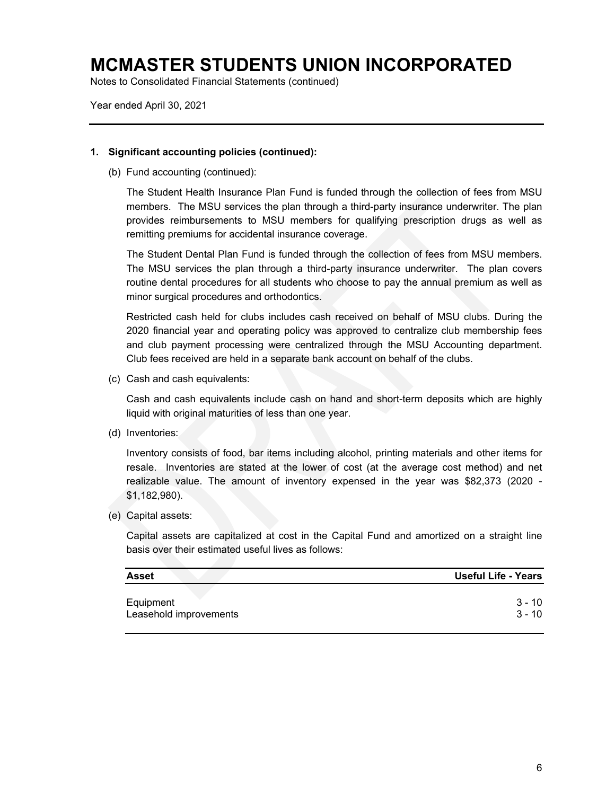Notes to Consolidated Financial Statements (continued)

Year ended April 30, 2021

#### **1. Significant accounting policies (continued):**

(b) Fund accounting (continued):

The Student Health Insurance Plan Fund is funded through the collection of fees from MSU members. The MSU services the plan through a third-party insurance underwriter. The plan provides reimbursements to MSU members for qualifying prescription drugs as well as remitting premiums for accidental insurance coverage.

The Student Dental Plan Fund is funded through the collection of fees from MSU members. The MSU services the plan through a third-party insurance underwriter. The plan covers routine dental procedures for all students who choose to pay the annual premium as well as minor surgical procedures and orthodontics.

Restricted cash held for clubs includes cash received on behalf of MSU clubs. During the 2020 financial year and operating policy was approved to centralize club membership fees and club payment processing were centralized through the MSU Accounting department. Club fees received are held in a separate bank account on behalf of the clubs.

(c) Cash and cash equivalents:

Cash and cash equivalents include cash on hand and short-term deposits which are highly liquid with original maturities of less than one year.

(d) Inventories:

Inventory consists of food, bar items including alcohol, printing materials and other items for resale. Inventories are stated at the lower of cost (at the average cost method) and net realizable value. The amount of inventory expensed in the year was \$82,373 (2020 - \$1,182,980).

(e) Capital assets:

Capital assets are capitalized at cost in the Capital Fund and amortized on a straight line basis over their estimated useful lives as follows:

| <b>Asset</b>           | Useful Life - Years |
|------------------------|---------------------|
| Equipment              | 3 - 10              |
| Leasehold improvements | $3 - 10$            |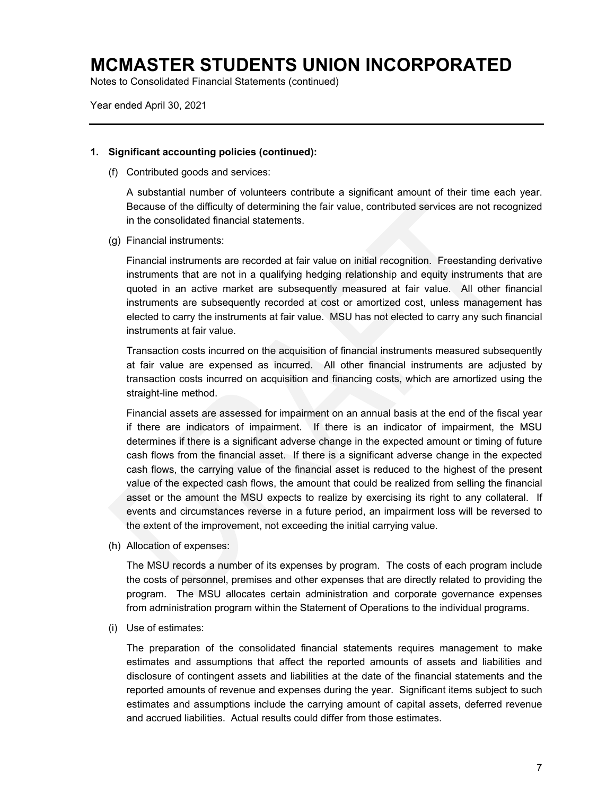Notes to Consolidated Financial Statements (continued)

Year ended April 30, 2021

#### **1. Significant accounting policies (continued):**

(f) Contributed goods and services:

A substantial number of volunteers contribute a significant amount of their time each year. Because of the difficulty of determining the fair value, contributed services are not recognized in the consolidated financial statements.

(g) Financial instruments:

Financial instruments are recorded at fair value on initial recognition. Freestanding derivative instruments that are not in a qualifying hedging relationship and equity instruments that are quoted in an active market are subsequently measured at fair value. All other financial instruments are subsequently recorded at cost or amortized cost, unless management has elected to carry the instruments at fair value. MSU has not elected to carry any such financial instruments at fair value.

Transaction costs incurred on the acquisition of financial instruments measured subsequently at fair value are expensed as incurred. All other financial instruments are adjusted by transaction costs incurred on acquisition and financing costs, which are amortized using the straight-line method.

Financial assets are assessed for impairment on an annual basis at the end of the fiscal year if there are indicators of impairment. If there is an indicator of impairment, the MSU determines if there is a significant adverse change in the expected amount or timing of future cash flows from the financial asset. If there is a significant adverse change in the expected cash flows, the carrying value of the financial asset is reduced to the highest of the present value of the expected cash flows, the amount that could be realized from selling the financial asset or the amount the MSU expects to realize by exercising its right to any collateral. If events and circumstances reverse in a future period, an impairment loss will be reversed to the extent of the improvement, not exceeding the initial carrying value.

(h) Allocation of expenses:

The MSU records a number of its expenses by program. The costs of each program include the costs of personnel, premises and other expenses that are directly related to providing the program. The MSU allocates certain administration and corporate governance expenses from administration program within the Statement of Operations to the individual programs.

(i) Use of estimates:

The preparation of the consolidated financial statements requires management to make estimates and assumptions that affect the reported amounts of assets and liabilities and disclosure of contingent assets and liabilities at the date of the financial statements and the reported amounts of revenue and expenses during the year. Significant items subject to such estimates and assumptions include the carrying amount of capital assets, deferred revenue and accrued liabilities. Actual results could differ from those estimates.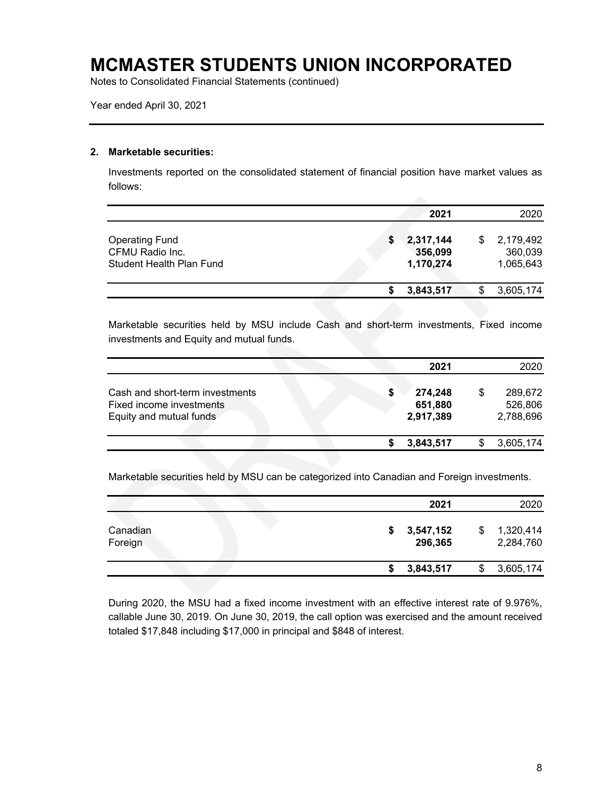Notes to Consolidated Financial Statements (continued)

Year ended April 30, 2021

#### **2. Marketable securities:**

Investments reported on the consolidated statement of financial position have market values as follows:

|                                                                      |  | 2021                              |    | 2020                              |
|----------------------------------------------------------------------|--|-----------------------------------|----|-----------------------------------|
| <b>Operating Fund</b><br>CFMU Radio Inc.<br>Student Health Plan Fund |  | 2,317,144<br>356,099<br>1,170,274 | S  | 2,179,492<br>360,039<br>1,065,643 |
|                                                                      |  | 3,843,517                         | \$ | 3,605,174                         |

Marketable securities held by MSU include Cash and short-term investments, Fixed income investments and Equity and mutual funds.

|                                                                                        | 2021                                  |   | 2020                            |
|----------------------------------------------------------------------------------------|---------------------------------------|---|---------------------------------|
| Cash and short-term investments<br>Fixed income investments<br>Equity and mutual funds | \$<br>274,248<br>651,880<br>2,917,389 | S | 289,672<br>526,806<br>2,788,696 |
|                                                                                        | 3,843,517                             |   | 3,605,174                       |

Marketable securities held by MSU can be categorized into Canadian and Foreign investments.

|                     |  |   | 2021                 |    | 2020                   |
|---------------------|--|---|----------------------|----|------------------------|
| Canadian<br>Foreign |  | S | 3,547,152<br>296,365 | \$ | 1,320,414<br>2,284,760 |
|                     |  |   | 3,843,517            | S  | 3,605,174              |

During 2020, the MSU had a fixed income investment with an effective interest rate of 9.976%, callable June 30, 2019. On June 30, 2019, the call option was exercised and the amount received totaled \$17,848 including \$17,000 in principal and \$848 of interest.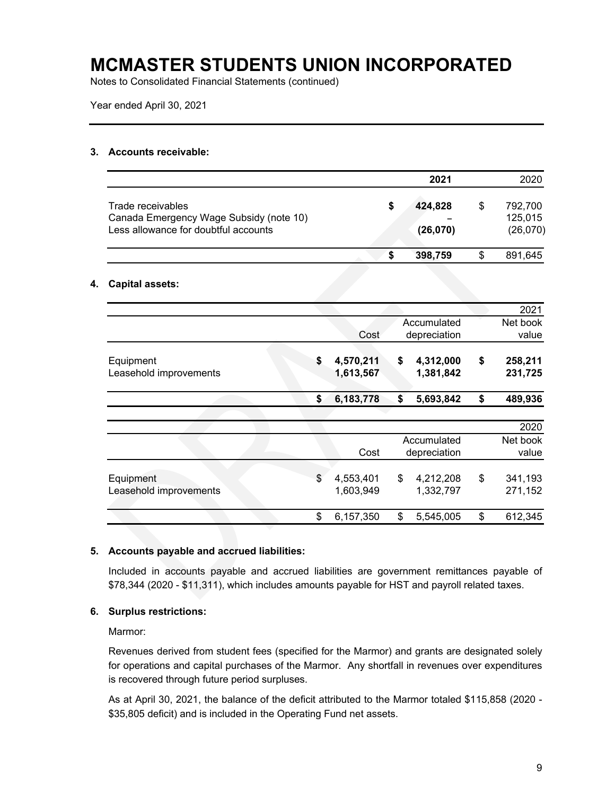Notes to Consolidated Financial Statements (continued)

Year ended April 30, 2021

#### **3. Accounts receivable:**

|                                                                                                      |   | 2021                | 2020                           |
|------------------------------------------------------------------------------------------------------|---|---------------------|--------------------------------|
| Trade receivables<br>Canada Emergency Wage Subsidy (note 10)<br>Less allowance for doubtful accounts | S | 424,828<br>(26,070) | 792.700<br>125,015<br>(26,070) |
|                                                                                                      | S | 398,759             | 891.645                        |

#### **4. Capital assets:**

| Cost                         | Accumulated                  |                             | 2021               |
|------------------------------|------------------------------|-----------------------------|--------------------|
|                              |                              |                             | Net book           |
|                              | depreciation                 |                             | value              |
| \$<br>4,570,211<br>1,613,567 | \$<br>4,312,000<br>1,381,842 | \$                          | 258,211<br>231,725 |
| \$<br>6,183,778              | \$<br>5,693,842              | \$                          | 489,936            |
|                              |                              |                             | 2020               |
| Cost                         |                              |                             | Net book<br>value  |
| \$<br>4,553,401<br>1,603,949 | \$<br>4,212,208<br>1,332,797 | \$                          | 341,193<br>271,152 |
| \$<br>6,157,350              | \$<br>5,545,005              | \$                          | 612,345            |
|                              |                              | Accumulated<br>depreciation |                    |

#### **5. Accounts payable and accrued liabilities:**

Included in accounts payable and accrued liabilities are government remittances payable of \$78,344 (2020 - \$11,311), which includes amounts payable for HST and payroll related taxes.

#### **6. Surplus restrictions:**

Marmor:

Revenues derived from student fees (specified for the Marmor) and grants are designated solely for operations and capital purchases of the Marmor. Any shortfall in revenues over expenditures is recovered through future period surpluses.

As at April 30, 2021, the balance of the deficit attributed to the Marmor totaled \$115,858 (2020 - \$35,805 deficit) and is included in the Operating Fund net assets.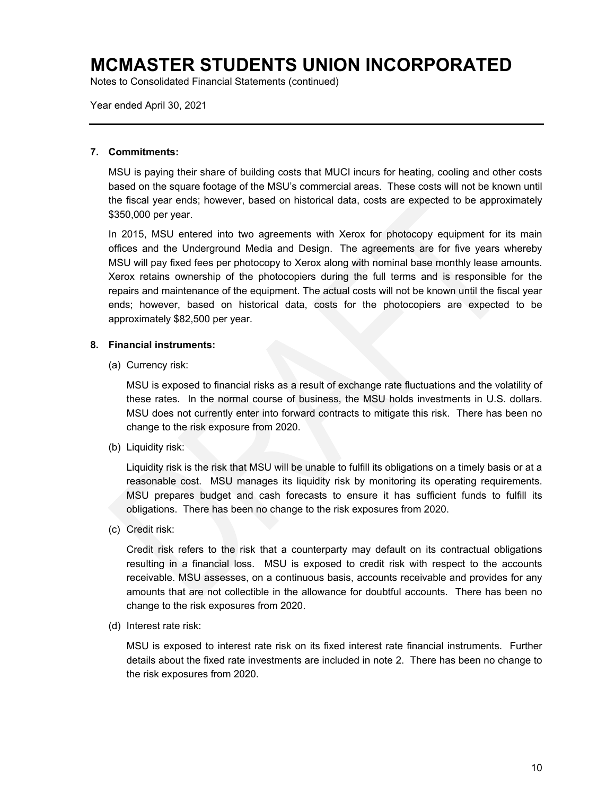Notes to Consolidated Financial Statements (continued)

Year ended April 30, 2021

#### **7. Commitments:**

MSU is paying their share of building costs that MUCI incurs for heating, cooling and other costs based on the square footage of the MSU's commercial areas. These costs will not be known until the fiscal year ends; however, based on historical data, costs are expected to be approximately \$350,000 per year.

In 2015, MSU entered into two agreements with Xerox for photocopy equipment for its main offices and the Underground Media and Design. The agreements are for five years whereby MSU will pay fixed fees per photocopy to Xerox along with nominal base monthly lease amounts. Xerox retains ownership of the photocopiers during the full terms and is responsible for the repairs and maintenance of the equipment. The actual costs will not be known until the fiscal year ends; however, based on historical data, costs for the photocopiers are expected to be approximately \$82,500 per year.

#### **8. Financial instruments:**

(a) Currency risk:

MSU is exposed to financial risks as a result of exchange rate fluctuations and the volatility of these rates. In the normal course of business, the MSU holds investments in U.S. dollars. MSU does not currently enter into forward contracts to mitigate this risk. There has been no change to the risk exposure from 2020.

(b) Liquidity risk:

Liquidity risk is the risk that MSU will be unable to fulfill its obligations on a timely basis or at a reasonable cost. MSU manages its liquidity risk by monitoring its operating requirements. MSU prepares budget and cash forecasts to ensure it has sufficient funds to fulfill its obligations. There has been no change to the risk exposures from 2020.

(c) Credit risk:

Credit risk refers to the risk that a counterparty may default on its contractual obligations resulting in a financial loss. MSU is exposed to credit risk with respect to the accounts receivable. MSU assesses, on a continuous basis, accounts receivable and provides for any amounts that are not collectible in the allowance for doubtful accounts. There has been no change to the risk exposures from 2020.

(d) Interest rate risk:

MSU is exposed to interest rate risk on its fixed interest rate financial instruments. Further details about the fixed rate investments are included in note 2. There has been no change to the risk exposures from 2020.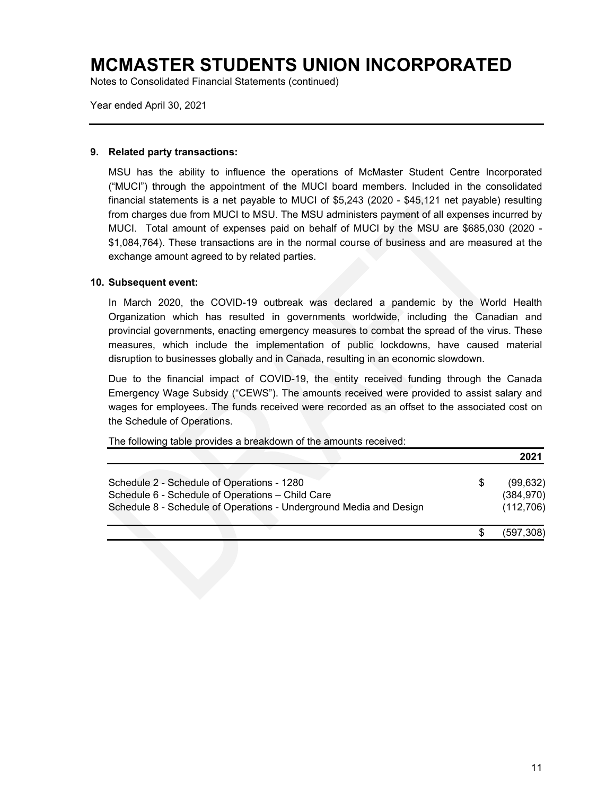Notes to Consolidated Financial Statements (continued)

Year ended April 30, 2021

#### **9. Related party transactions:**

MSU has the ability to influence the operations of McMaster Student Centre Incorporated ("MUCI") through the appointment of the MUCI board members. Included in the consolidated financial statements is a net payable to MUCI of \$5,243 (2020 - \$45,121 net payable) resulting from charges due from MUCI to MSU. The MSU administers payment of all expenses incurred by MUCI. Total amount of expenses paid on behalf of MUCI by the MSU are \$685,030 (2020 - \$1,084,764). These transactions are in the normal course of business and are measured at the exchange amount agreed to by related parties.

#### **10. Subsequent event:**

In March 2020, the COVID-19 outbreak was declared a pandemic by the World Health Organization which has resulted in governments worldwide, including the Canadian and provincial governments, enacting emergency measures to combat the spread of the virus. These measures, which include the implementation of public lockdowns, have caused material disruption to businesses globally and in Canada, resulting in an economic slowdown.

Due to the financial impact of COVID-19, the entity received funding through the Canada Emergency Wage Subsidy ("CEWS"). The amounts received were provided to assist salary and wages for employees. The funds received were recorded as an offset to the associated cost on the Schedule of Operations.

The following table provides a breakdown of the amounts received:

|                                                                                                                                                                      |   | 2021                                  |
|----------------------------------------------------------------------------------------------------------------------------------------------------------------------|---|---------------------------------------|
| Schedule 2 - Schedule of Operations - 1280<br>Schedule 6 - Schedule of Operations - Child Care<br>Schedule 8 - Schedule of Operations - Underground Media and Design | S | (99, 632)<br>(384, 970)<br>(112, 706) |
|                                                                                                                                                                      |   | (597,308)                             |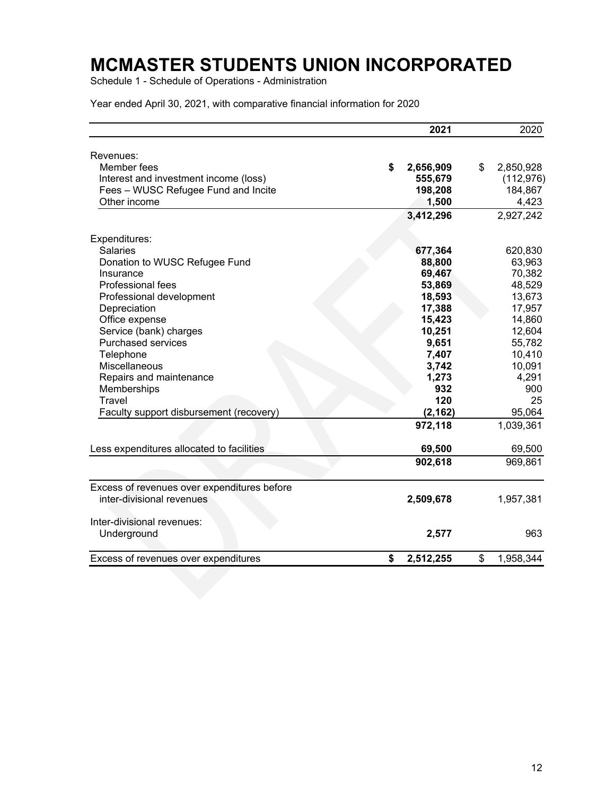Schedule 1 - Schedule of Operations - Administration

|                                             | 2021             | 2020             |
|---------------------------------------------|------------------|------------------|
| Revenues:                                   |                  |                  |
| Member fees                                 | \$<br>2,656,909  | \$<br>2,850,928  |
| Interest and investment income (loss)       | 555,679          | (112, 976)       |
| Fees - WUSC Refugee Fund and Incite         | 198,208          | 184,867          |
| Other income                                | 1,500            | 4,423            |
|                                             | 3,412,296        | 2,927,242        |
|                                             |                  |                  |
| Expenditures:                               |                  | 620,830          |
| <b>Salaries</b>                             | 677,364          |                  |
| Donation to WUSC Refugee Fund<br>Insurance  | 88,800<br>69,467 | 63,963<br>70,382 |
| Professional fees                           |                  | 48,529           |
|                                             | 53,869<br>18,593 | 13,673           |
| Professional development<br>Depreciation    | 17,388           | 17,957           |
| Office expense                              | 15,423           | 14,860           |
| Service (bank) charges                      | 10,251           | 12,604           |
| <b>Purchased services</b>                   | 9,651            | 55,782           |
| Telephone                                   | 7,407            | 10,410           |
| Miscellaneous                               | 3,742            | 10,091           |
| Repairs and maintenance                     | 1,273            | 4,291            |
| Memberships                                 | 932              | 900              |
| <b>Travel</b>                               | 120              | 25               |
| Faculty support disbursement (recovery)     | (2, 162)         | 95,064           |
|                                             | 972,118          | 1,039,361        |
| Less expenditures allocated to facilities   | 69,500           | 69,500           |
|                                             |                  |                  |
|                                             | 902,618          | 969,861          |
| Excess of revenues over expenditures before |                  |                  |
| inter-divisional revenues                   | 2,509,678        | 1,957,381        |
| Inter-divisional revenues:                  |                  |                  |
| Underground                                 | 2,577            | 963              |
| Excess of revenues over expenditures        | \$<br>2,512,255  | \$<br>1,958,344  |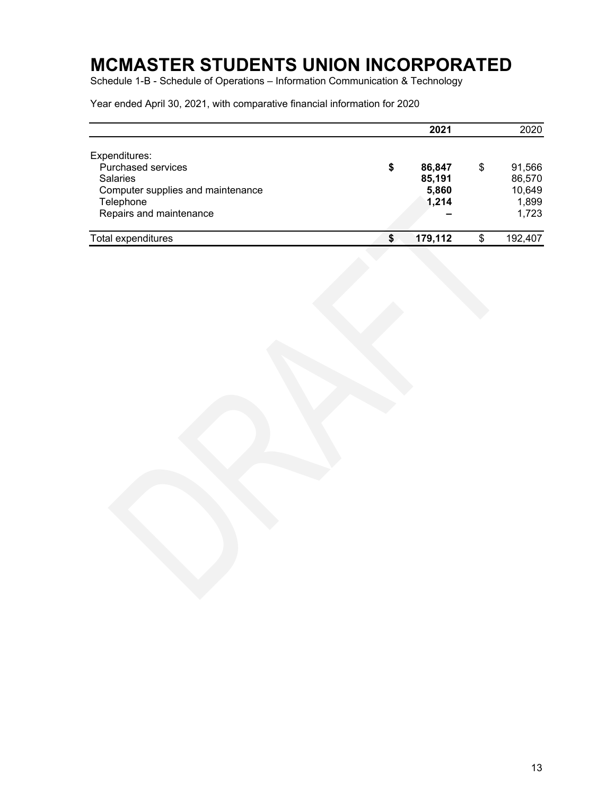Schedule 1-B - Schedule of Operations – Information Communication & Technology

|                                   | 2021          | 2020          |
|-----------------------------------|---------------|---------------|
| Expenditures:                     |               |               |
| <b>Purchased services</b>         | \$<br>86,847  | \$<br>91,566  |
| <b>Salaries</b>                   | 85,191        | 86,570        |
| Computer supplies and maintenance | 5,860         | 10,649        |
| Telephone                         | 1,214         | 1,899         |
| Repairs and maintenance           |               | 1,723         |
| Total expenditures                | \$<br>179,112 | \$<br>192,407 |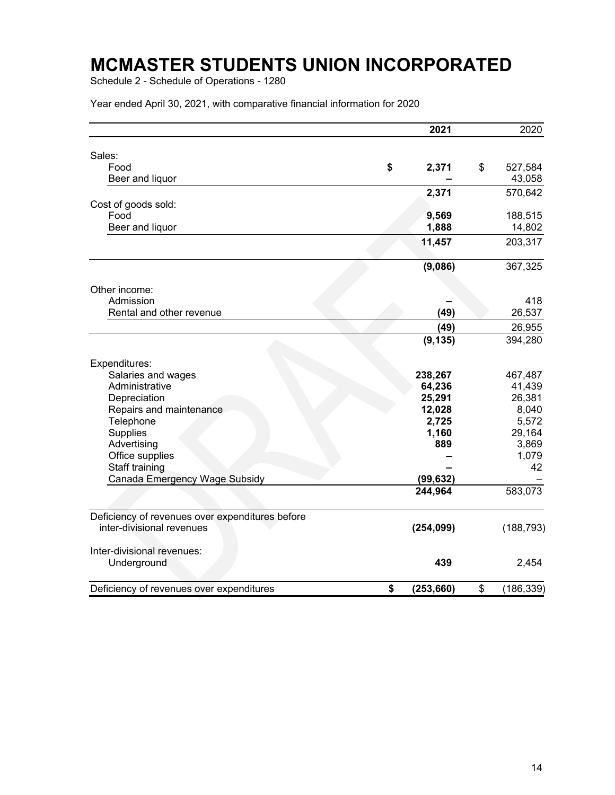Schedule 2 - Schedule of Operations - 1280

|                                                 | 2021             | 2020             |
|-------------------------------------------------|------------------|------------------|
| Sales:                                          |                  |                  |
| Food                                            | \$<br>2,371      | \$<br>527,584    |
| Beer and liquor                                 |                  | 43,058           |
|                                                 |                  |                  |
|                                                 | 2,371            | 570,642          |
| Cost of goods sold:                             |                  |                  |
| Food                                            | 9,569            | 188,515          |
| Beer and liquor                                 | 1,888            | 14,802           |
|                                                 | 11,457           | 203,317          |
|                                                 | (9,086)          | 367,325          |
| Other income:                                   |                  |                  |
| Admission                                       |                  | 418              |
| Rental and other revenue                        | (49)             | 26,537           |
|                                                 | (49)             | 26,955           |
|                                                 | (9, 135)         | 394,280          |
| Expenditures:                                   |                  |                  |
| Salaries and wages                              | 238,267          | 467,487          |
| Administrative                                  | 64,236           | 41,439           |
| Depreciation                                    | 25,291           | 26,381           |
| Repairs and maintenance                         | 12,028           | 8,040            |
| Telephone                                       | 2,725            | 5,572            |
| Supplies                                        | 1,160            | 29,164           |
| Advertising                                     | 889              | 3,869            |
| Office supplies                                 |                  | 1,079            |
| Staff training                                  |                  | 42               |
| Canada Emergency Wage Subsidy                   | (99, 632)        |                  |
|                                                 | 244,964          | 583,073          |
| Deficiency of revenues over expenditures before |                  |                  |
| inter-divisional revenues                       | (254, 099)       | (188, 793)       |
| Inter-divisional revenues:                      |                  |                  |
| Underground                                     | 439              | 2,454            |
| Deficiency of revenues over expenditures        | \$<br>(253, 660) | \$<br>(186, 339) |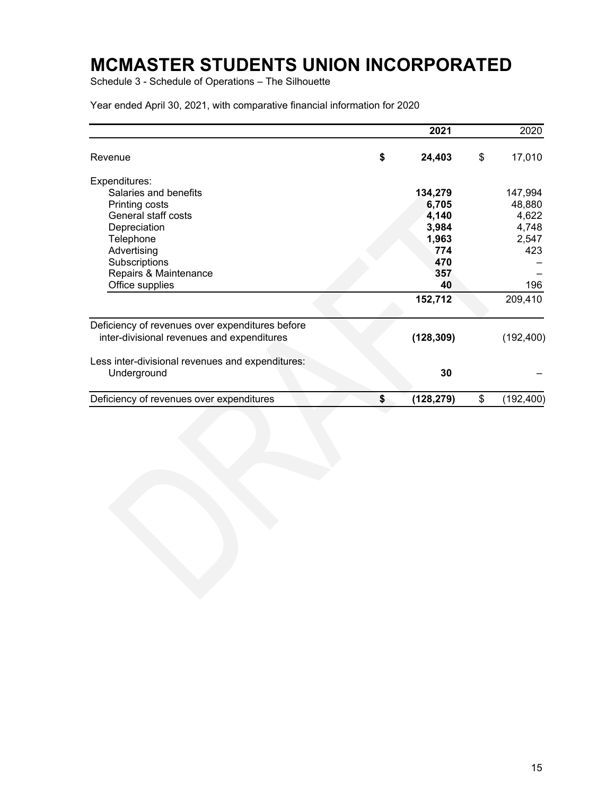Schedule 3 - Schedule of Operations – The Silhouette

|                                                  | 2021             | 2020             |
|--------------------------------------------------|------------------|------------------|
| Revenue                                          | \$<br>24,403     | \$<br>17,010     |
| Expenditures:                                    |                  |                  |
| Salaries and benefits                            | 134,279          | 147,994          |
| Printing costs                                   | 6,705            | 48,880           |
| General staff costs                              | 4,140            | 4,622            |
| Depreciation                                     | 3,984            | 4,748            |
| Telephone                                        | 1,963            | 2,547            |
| Advertising                                      | 774              | 423              |
| Subscriptions                                    | 470              |                  |
| Repairs & Maintenance                            | 357              |                  |
| Office supplies                                  | 40               | 196              |
|                                                  | 152,712          | 209,410          |
| Deficiency of revenues over expenditures before  |                  |                  |
| inter-divisional revenues and expenditures       | (128, 309)       | (192, 400)       |
| Less inter-divisional revenues and expenditures: |                  |                  |
| Underground                                      | 30               |                  |
| Deficiency of revenues over expenditures         | \$<br>(128, 279) | \$<br>(192, 400) |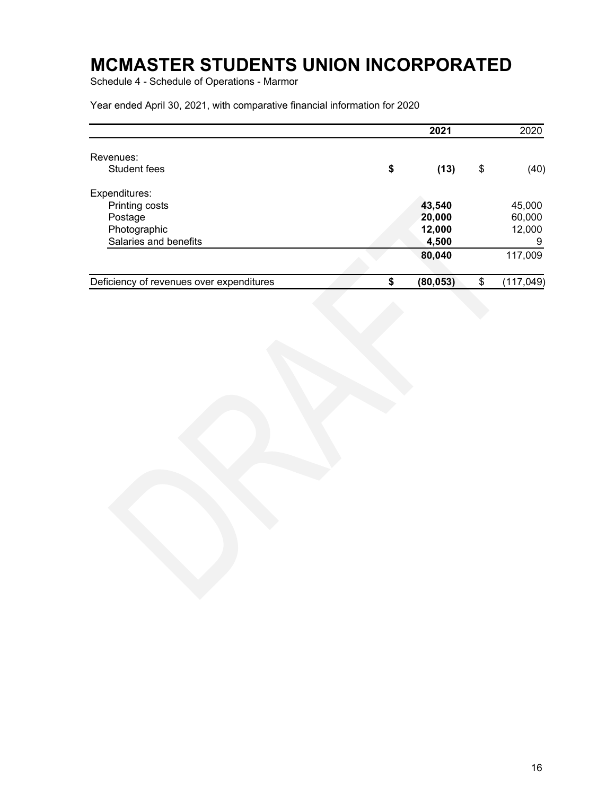Schedule 4 - Schedule of Operations - Marmor

|                                          | 2021            | 2020             |
|------------------------------------------|-----------------|------------------|
| Revenues:                                |                 |                  |
| Student fees                             | \$<br>(13)      | \$<br>(40)       |
| Expenditures:                            |                 |                  |
| Printing costs                           | 43,540          | 45,000           |
| Postage                                  | 20,000          | 60,000           |
| Photographic                             | 12,000          | 12,000           |
| Salaries and benefits                    | 4,500           | 9                |
|                                          | 80,040          | 117,009          |
| Deficiency of revenues over expenditures | \$<br>(80, 053) | \$<br>(117, 049) |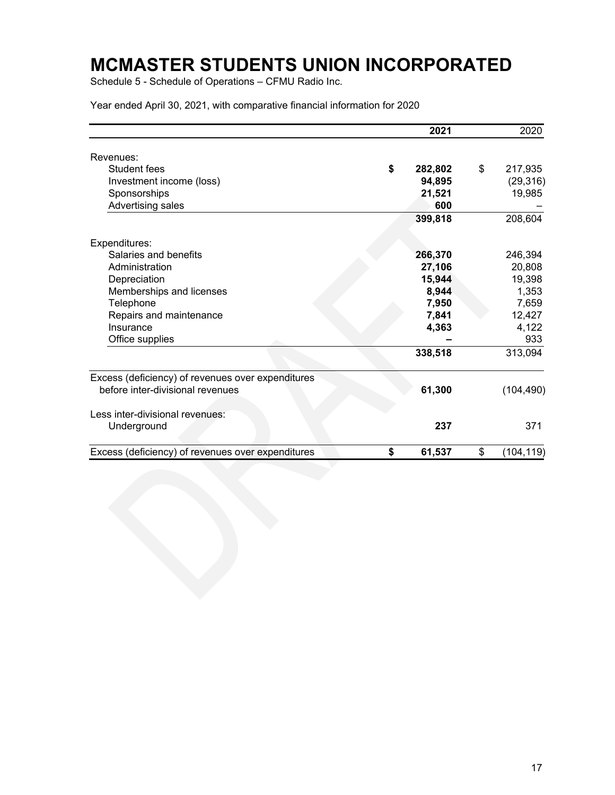Schedule 5 - Schedule of Operations – CFMU Radio Inc.

|                                                   | 2021          | 2020             |
|---------------------------------------------------|---------------|------------------|
| Revenues:                                         |               |                  |
| Student fees                                      | \$<br>282,802 | \$<br>217,935    |
| Investment income (loss)                          | 94,895        | (29, 316)        |
| Sponsorships                                      | 21,521        | 19,985           |
| Advertising sales                                 | 600           |                  |
|                                                   | 399,818       | 208,604          |
| Expenditures:                                     |               |                  |
| Salaries and benefits                             | 266,370       | 246,394          |
| Administration                                    | 27,106        | 20,808           |
| Depreciation                                      | 15,944        | 19,398           |
| Memberships and licenses                          | 8,944         | 1,353            |
| Telephone                                         | 7,950         | 7,659            |
| Repairs and maintenance                           | 7,841         | 12,427           |
| Insurance                                         | 4,363         | 4,122            |
| Office supplies                                   |               | 933              |
|                                                   | 338,518       | 313,094          |
| Excess (deficiency) of revenues over expenditures |               |                  |
| before inter-divisional revenues                  | 61,300        | (104, 490)       |
| Less inter-divisional revenues:                   |               |                  |
| Underground                                       | 237           | 371              |
| Excess (deficiency) of revenues over expenditures | \$<br>61,537  | \$<br>(104, 119) |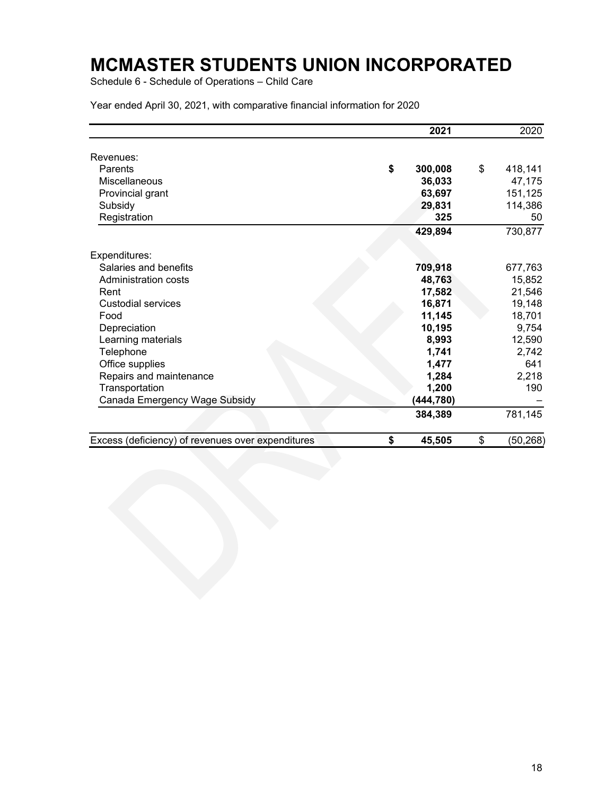Schedule 6 - Schedule of Operations – Child Care

|                                                   | 2021          | 2020            |
|---------------------------------------------------|---------------|-----------------|
| Revenues:                                         |               |                 |
| Parents                                           | \$<br>300,008 | \$<br>418,141   |
| Miscellaneous                                     | 36,033        | 47,175          |
| Provincial grant                                  | 63,697        | 151,125         |
| Subsidy                                           | 29,831        | 114,386         |
| Registration                                      | 325           | 50              |
|                                                   | 429,894       | 730,877         |
| Expenditures:                                     |               |                 |
| Salaries and benefits                             | 709,918       | 677,763         |
| Administration costs                              | 48,763        | 15,852          |
| Rent                                              | 17,582        | 21,546          |
| Custodial services                                | 16,871        | 19,148          |
| Food                                              | 11,145        | 18,701          |
| Depreciation                                      | 10,195        | 9,754           |
| Learning materials                                | 8,993         | 12,590          |
| Telephone                                         | 1,741         | 2,742           |
| Office supplies                                   | 1,477         | 641             |
| Repairs and maintenance                           | 1,284         | 2,218           |
| Transportation                                    | 1,200         | 190             |
| Canada Emergency Wage Subsidy                     | (444, 780)    |                 |
|                                                   | 384,389       | 781,145         |
| Excess (deficiency) of revenues over expenditures | \$<br>45,505  | \$<br>(50, 268) |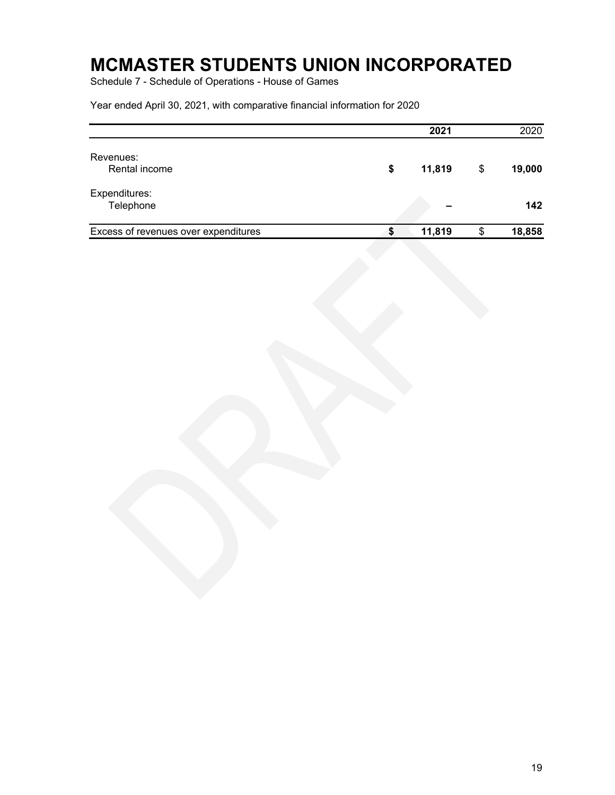Schedule 7 - Schedule of Operations - House of Games

|                                      | 2021         | 2020         |
|--------------------------------------|--------------|--------------|
| Revenues:<br>Rental income           | \$<br>11,819 | \$<br>19,000 |
| Expenditures:<br>Telephone           |              | 142          |
| Excess of revenues over expenditures | \$<br>11,819 | \$<br>18,858 |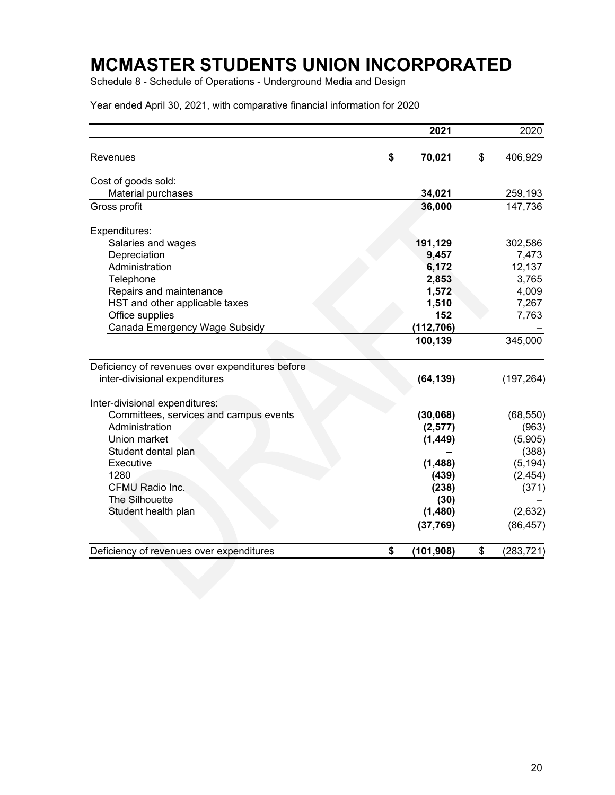Schedule 8 - Schedule of Operations - Underground Media and Design

|                                                 | 2021             | 2020            |
|-------------------------------------------------|------------------|-----------------|
| Revenues                                        | \$<br>70,021     | \$<br>406,929   |
| Cost of goods sold:                             |                  |                 |
| Material purchases                              | 34,021           | 259,193         |
| Gross profit                                    | 36,000           | 147,736         |
| Expenditures:                                   |                  |                 |
| Salaries and wages                              | 191,129          | 302,586         |
| Depreciation                                    | 9,457            | 7,473           |
| Administration                                  | 6,172            | 12,137          |
| Telephone                                       | 2,853            | 3,765           |
| Repairs and maintenance                         | 1,572            | 4,009           |
| HST and other applicable taxes                  | 1,510            | 7,267           |
| Office supplies                                 | 152              | 7,763           |
| Canada Emergency Wage Subsidy                   | (112, 706)       |                 |
|                                                 | 100,139          | 345,000         |
| Deficiency of revenues over expenditures before |                  |                 |
| inter-divisional expenditures                   | (64, 139)        | (197, 264)      |
| Inter-divisional expenditures:                  |                  |                 |
| Committees, services and campus events          | (30, 068)        | (68, 550)       |
| Administration                                  | (2,577)          | (963)           |
| Union market                                    | (1, 449)         | (5,905)         |
| Student dental plan                             |                  | (388)           |
| Executive                                       | (1,488)          | (5, 194)        |
| 1280                                            | (439)            | (2, 454)        |
| CFMU Radio Inc.                                 | (238)            | (371)           |
| The Silhouette                                  | (30)             |                 |
| Student health plan                             | (1,480)          | (2,632)         |
|                                                 | (37,769)         | (86, 457)       |
| Deficiency of revenues over expenditures        | \$<br>(101, 908) | \$<br>(283,721) |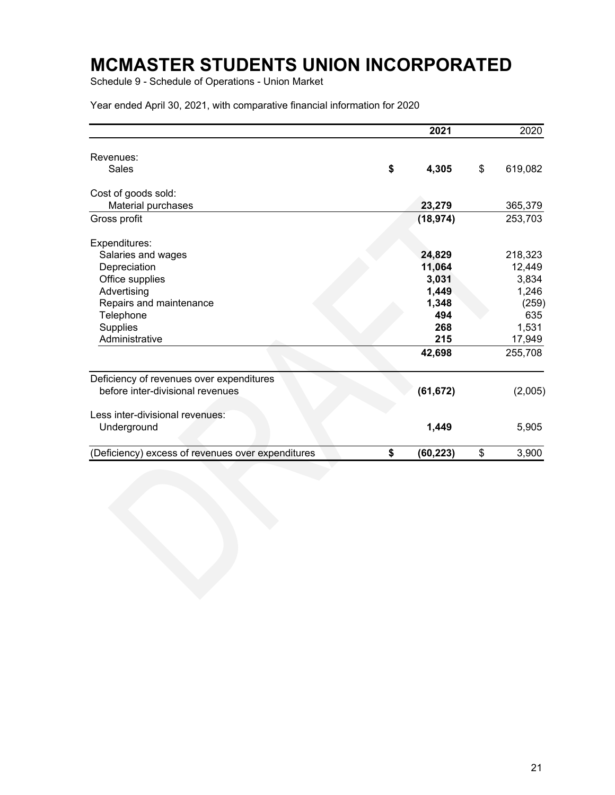Schedule 9 - Schedule of Operations - Union Market

|                                                   | 2021            | 2020          |
|---------------------------------------------------|-----------------|---------------|
| Revenues:                                         |                 |               |
| Sales                                             | \$<br>4,305     | \$<br>619,082 |
| Cost of goods sold:                               |                 |               |
| Material purchases                                | 23,279          | 365,379       |
| Gross profit                                      | (18, 974)       | 253,703       |
| Expenditures:                                     |                 |               |
| Salaries and wages                                | 24,829          | 218,323       |
| Depreciation                                      | 11,064          | 12,449        |
| Office supplies                                   | 3,031           | 3,834         |
| Advertising                                       | 1,449           | 1,246         |
| Repairs and maintenance                           | 1,348           | (259)         |
| Telephone                                         | 494             | 635           |
| Supplies                                          | 268             | 1,531         |
| Administrative                                    | 215             | 17,949        |
|                                                   | 42,698          | 255,708       |
| Deficiency of revenues over expenditures          |                 |               |
| before inter-divisional revenues                  | (61, 672)       | (2,005)       |
| Less inter-divisional revenues:                   |                 |               |
| Underground                                       | 1,449           | 5,905         |
| (Deficiency) excess of revenues over expenditures | \$<br>(60, 223) | \$<br>3,900   |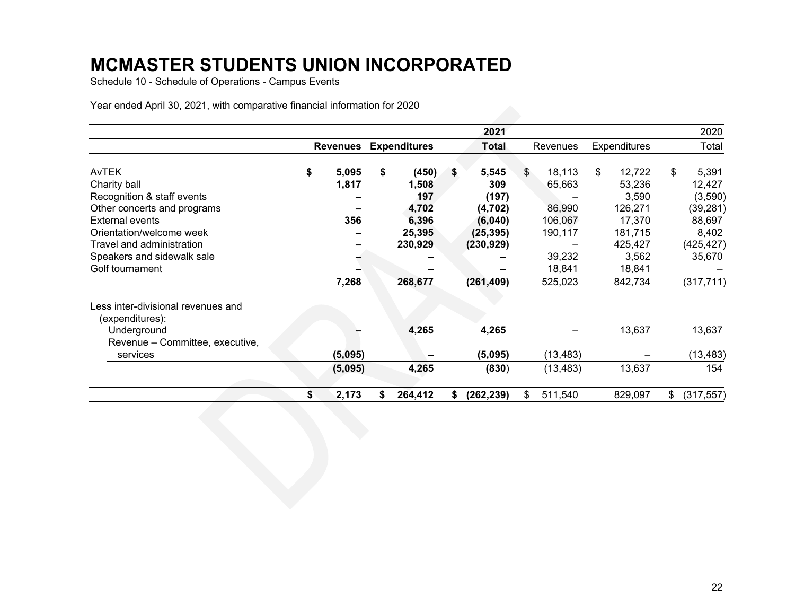Schedule 10 - Schedule of Operations - Campus Events

|                                                       |                 |                     | 2021         |               |                     | 2020             |
|-------------------------------------------------------|-----------------|---------------------|--------------|---------------|---------------------|------------------|
|                                                       | <b>Revenues</b> | <b>Expenditures</b> | <b>Total</b> | Revenues      | <b>Expenditures</b> | Total            |
|                                                       |                 |                     |              |               |                     |                  |
| <b>AvTEK</b>                                          | \$<br>5,095     | \$<br>(450)         | \$<br>5,545  | \$<br>18,113  | \$<br>12,722        | \$<br>5,391      |
| Charity ball                                          | 1,817           | 1,508               | 309          | 65,663        | 53,236              | 12,427           |
| Recognition & staff events                            |                 | 197                 | (197)        |               | 3,590               | (3,590)          |
| Other concerts and programs                           |                 | 4,702               | (4, 702)     | 86,990        | 126,271             | (39, 281)        |
| <b>External events</b>                                | 356             | 6,396               | (6,040)      | 106,067       | 17,370              | 88,697           |
| Orientation/welcome week                              |                 | 25,395              | (25, 395)    | 190,117       | 181,715             | 8,402            |
| Travel and administration                             |                 | 230,929             | (230, 929)   |               | 425,427             | (425,427)        |
| Speakers and sidewalk sale                            |                 |                     |              | 39,232        | 3,562               | 35,670           |
| Golf tournament                                       |                 |                     |              | 18,841        | 18,841              |                  |
|                                                       | 7,268           | 268,677             | (261, 409)   | 525,023       | 842,734             | (317, 711)       |
| Less inter-divisional revenues and<br>(expenditures): |                 |                     |              |               |                     |                  |
| Underground                                           |                 | 4,265               | 4,265        |               | 13,637              | 13,637           |
| Revenue - Committee, executive,                       |                 |                     |              |               |                     |                  |
| services                                              | (5,095)         |                     | (5,095)      | (13, 483)     |                     | (13, 483)        |
|                                                       | (5,095)         | 4,265               | (830)        | (13, 483)     | 13,637              | 154              |
|                                                       | \$<br>2,173     | \$<br>264,412       | (262, 239)   | \$<br>511,540 | 829,097             | \$<br>(317, 557) |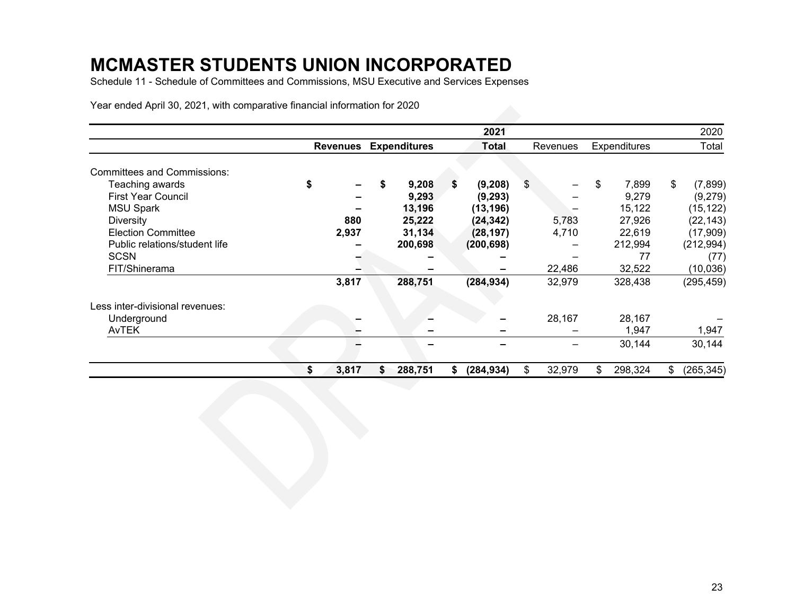Schedule 11 - Schedule of Committees and Commissions, MSU Executive and Services Expenses

|                                    |                 |                     | 2021         |              |                     |                | 2020       |
|------------------------------------|-----------------|---------------------|--------------|--------------|---------------------|----------------|------------|
|                                    | <b>Revenues</b> | <b>Expenditures</b> | <b>Total</b> | Revenues     | <b>Expenditures</b> |                | Total      |
| <b>Committees and Commissions:</b> |                 |                     |              |              |                     |                |            |
| Teaching awards                    | \$<br>-         | \$<br>9,208         | (9, 208)     | \$<br>-      | \$<br>7,899         | $\mathfrak{S}$ | (7,899)    |
| <b>First Year Council</b>          |                 | 9,293               | (9, 293)     |              | 9,279               |                | (9,279)    |
| <b>MSU Spark</b>                   |                 | 13,196              | (13, 196)    |              | 15,122              |                | (15, 122)  |
| <b>Diversity</b>                   | 880             | 25,222              | (24, 342)    | 5,783        | 27,926              |                | (22, 143)  |
| <b>Election Committee</b>          | 2,937           | 31,134              | (28, 197)    | 4,710        | 22,619              |                | (17, 909)  |
| Public relations/student life      |                 | 200,698             | (200, 698)   |              | 212,994             |                | (212, 994) |
| <b>SCSN</b>                        |                 |                     |              |              | 77                  |                | (77)       |
| FIT/Shinerama                      |                 |                     |              | 22,486       | 32,522              |                | (10, 036)  |
|                                    | 3,817           | 288,751             | (284, 934)   | 32,979       | 328,438             |                | (295, 459) |
| Less inter-divisional revenues:    |                 |                     |              |              |                     |                |            |
| Underground                        |                 |                     |              | 28,167       | 28,167              |                |            |
| AvTEK                              |                 |                     |              |              | 1,947               |                | 1,947      |
|                                    |                 |                     |              |              | 30,144              |                | 30,144     |
|                                    | \$<br>3,817     | \$<br>288,751       | (284, 934)   | \$<br>32,979 | \$<br>298,324       | \$             | (265,345)  |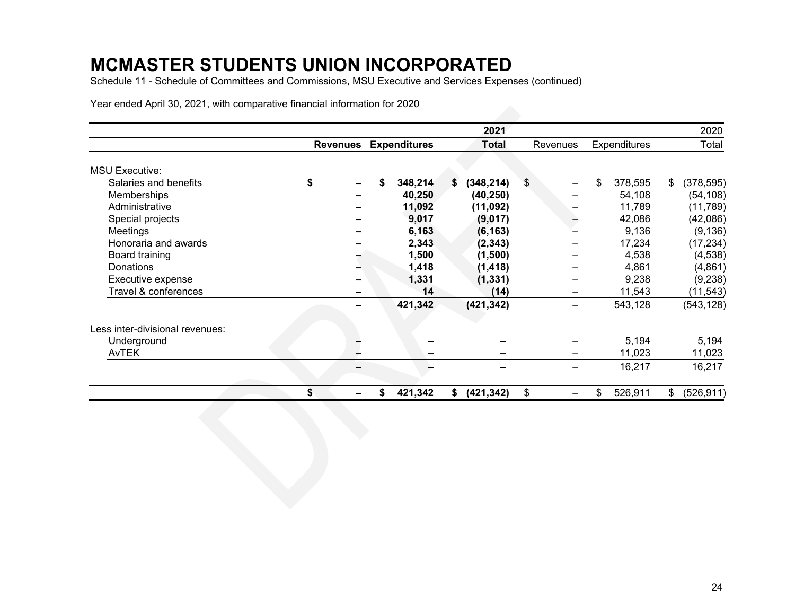Schedule 11 - Schedule of Committees and Commissions, MSU Executive and Services Expenses (continued)

|                                 |    |                 |  |         |    | 2021       |    |                              |    |          |    | 2020                |  |       |  |
|---------------------------------|----|-----------------|--|---------|----|------------|----|------------------------------|----|----------|----|---------------------|--|-------|--|
|                                 |    | <b>Revenues</b> |  |         |    |            |    | <b>Expenditures</b><br>Total |    | Revenues |    | <b>Expenditures</b> |  | Total |  |
| <b>MSU Executive:</b>           |    |                 |  |         |    |            |    |                              |    |          |    |                     |  |       |  |
| Salaries and benefits           | \$ |                 |  | 348,214 | S. | (348, 214) | \$ |                              | \$ | 378,595  | \$ | (378, 595)          |  |       |  |
| Memberships                     |    |                 |  | 40,250  |    | (40, 250)  |    |                              |    | 54,108   |    | (54, 108)           |  |       |  |
| Administrative                  |    |                 |  | 11,092  |    | (11,092)   |    |                              |    | 11,789   |    | (11, 789)           |  |       |  |
| Special projects                |    |                 |  | 9,017   |    | (9,017)    |    |                              |    | 42,086   |    | (42,086)            |  |       |  |
| Meetings                        |    |                 |  | 6,163   |    | (6, 163)   |    |                              |    | 9,136    |    | (9, 136)            |  |       |  |
| Honoraria and awards            |    |                 |  | 2,343   |    | (2, 343)   |    |                              |    | 17,234   |    | (17, 234)           |  |       |  |
| Board training                  |    |                 |  | 1,500   |    | (1,500)    |    |                              |    | 4,538    |    | (4,538)             |  |       |  |
| Donations                       |    |                 |  | 1,418   |    |            |    |                              |    |          |    |                     |  |       |  |
|                                 |    |                 |  |         |    | (1, 418)   |    |                              |    | 4,861    |    | (4,861)             |  |       |  |
| Executive expense               |    |                 |  | 1,331   |    | (1, 331)   |    |                              |    | 9,238    |    | (9,238)             |  |       |  |
| Travel & conferences            |    |                 |  | 14      |    | (14)       |    |                              |    | 11,543   |    | (11, 543)           |  |       |  |
|                                 |    |                 |  | 421,342 |    | (421, 342) |    |                              |    | 543,128  |    | (543, 128)          |  |       |  |
| Less inter-divisional revenues: |    |                 |  |         |    |            |    |                              |    |          |    |                     |  |       |  |
| Underground                     |    |                 |  |         |    |            |    |                              |    | 5,194    |    | 5,194               |  |       |  |
| <b>AvTEK</b>                    |    |                 |  | -       |    |            |    | —                            |    | 11,023   |    | 11,023              |  |       |  |
|                                 |    |                 |  |         |    |            |    |                              |    | 16,217   |    | 16,217              |  |       |  |
|                                 | \$ |                 |  | 421,342 |    | (421, 342) | \$ |                              |    | 526,911  | \$ | (526, 911)          |  |       |  |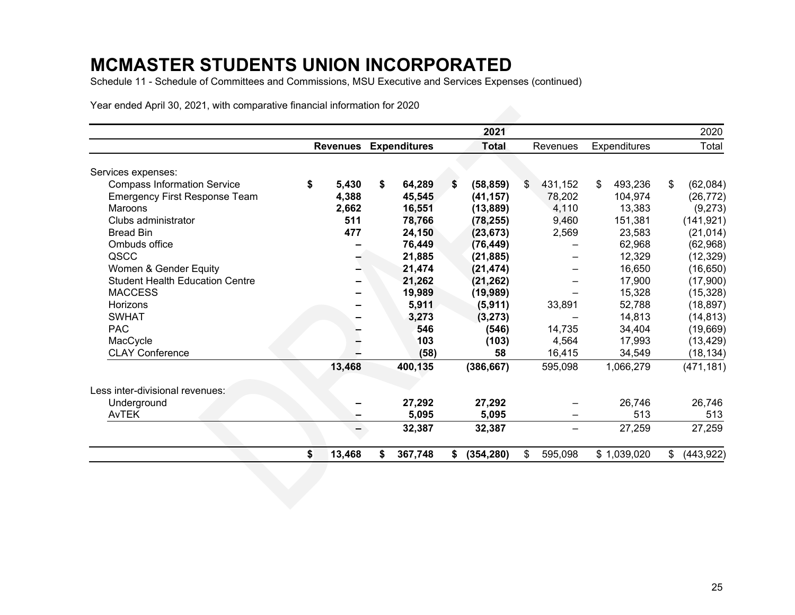Schedule 11 - Schedule of Committees and Commissions, MSU Executive and Services Expenses (continued)

|                                        |                 |                     | 2021             |               |                     | 2020             |
|----------------------------------------|-----------------|---------------------|------------------|---------------|---------------------|------------------|
|                                        | <b>Revenues</b> | <b>Expenditures</b> | <b>Total</b>     | Revenues      | <b>Expenditures</b> | Total            |
| Services expenses:                     |                 |                     |                  |               |                     |                  |
| <b>Compass Information Service</b>     | \$<br>5,430     | \$<br>64,289        | \$<br>(58, 859)  | \$<br>431,152 | 493,236<br>\$       | (62,084)<br>\$   |
| <b>Emergency First Response Team</b>   | 4,388           | 45,545              | (41, 157)        | 78,202        | 104,974             | (26, 772)        |
| Maroons                                | 2,662           | 16,551              | (13, 889)        | 4,110         | 13,383              | (9,273)          |
| Clubs administrator                    | 511             | 78,766              | (78, 255)        | 9,460         | 151,381             | (141, 921)       |
| <b>Bread Bin</b>                       | 477             | 24,150              | (23, 673)        | 2,569         | 23,583              | (21, 014)        |
| Ombuds office                          |                 | 76,449              | (76, 449)        |               | 62,968              | (62,968)         |
| QSCC                                   |                 | 21,885              | (21, 885)        |               | 12,329              | (12, 329)        |
| Women & Gender Equity                  |                 | 21,474              | (21, 474)        |               | 16,650              | (16, 650)        |
| <b>Student Health Education Centre</b> |                 | 21,262              | (21, 262)        |               | 17,900              | (17,900)         |
| <b>MACCESS</b>                         |                 | 19,989              | (19, 989)        |               | 15,328              | (15, 328)        |
| Horizons                               |                 | 5,911               | (5, 911)         | 33,891        | 52,788              | (18, 897)        |
| <b>SWHAT</b>                           |                 | 3,273               | (3, 273)         |               | 14,813              | (14, 813)        |
| <b>PAC</b>                             |                 | 546                 | (546)            | 14,735        | 34,404              | (19, 669)        |
| MacCycle                               |                 | 103                 | (103)            | 4,564         | 17,993              | (13, 429)        |
| <b>CLAY Conference</b>                 |                 | (58)                | 58               | 16,415        | 34,549              | (18, 134)        |
|                                        | 13,468          | 400,135             | (386, 667)       | 595,098       | 1,066,279           | (471, 181)       |
| Less inter-divisional revenues:        |                 |                     |                  |               |                     |                  |
| Underground                            |                 | 27,292              | 27,292           |               | 26,746              | 26,746           |
| AvTEK                                  |                 | 5,095               | 5,095            |               | 513                 | 513              |
|                                        |                 | 32,387              | 32,387           |               | 27,259              | 27,259           |
|                                        | 13,468          | \$<br>367,748       | \$<br>(354, 280) | \$<br>595,098 | \$1,039,020         | (443, 922)<br>\$ |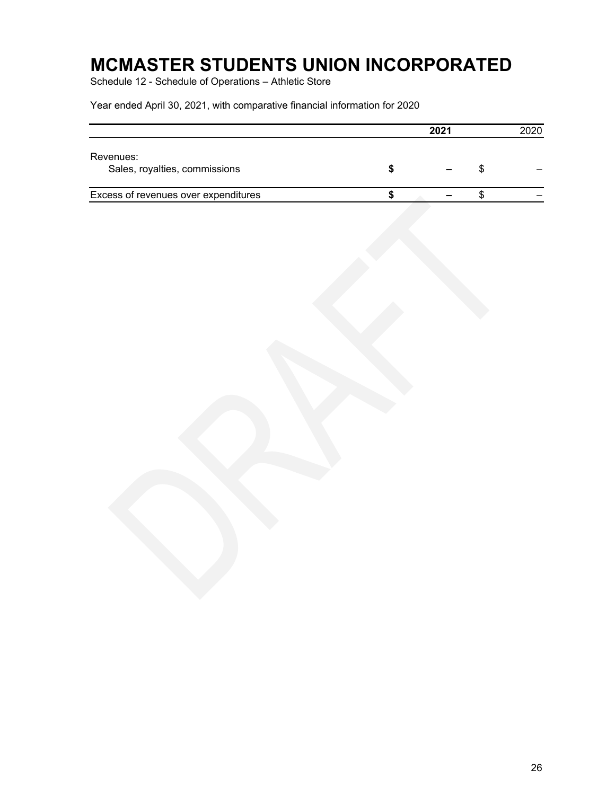Schedule 12 - Schedule of Operations – Athletic Store

|                                            |  | 2021 | 2020 |
|--------------------------------------------|--|------|------|
| Revenues:<br>Sales, royalties, commissions |  |      |      |
| Excess of revenues over expenditures       |  |      |      |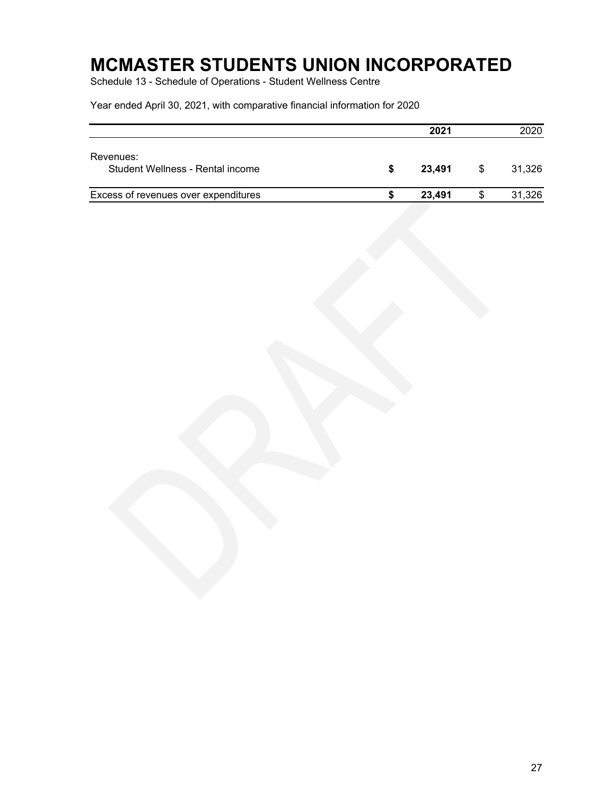Schedule 13 - Schedule of Operations - Student Wellness Centre

|                                               |   | 2021   |     | 2020   |
|-----------------------------------------------|---|--------|-----|--------|
| Revenues:<br>Student Wellness - Rental income | S | 23.491 | \$. | 31.326 |
| Excess of revenues over expenditures          |   | 23,491 |     | 31,326 |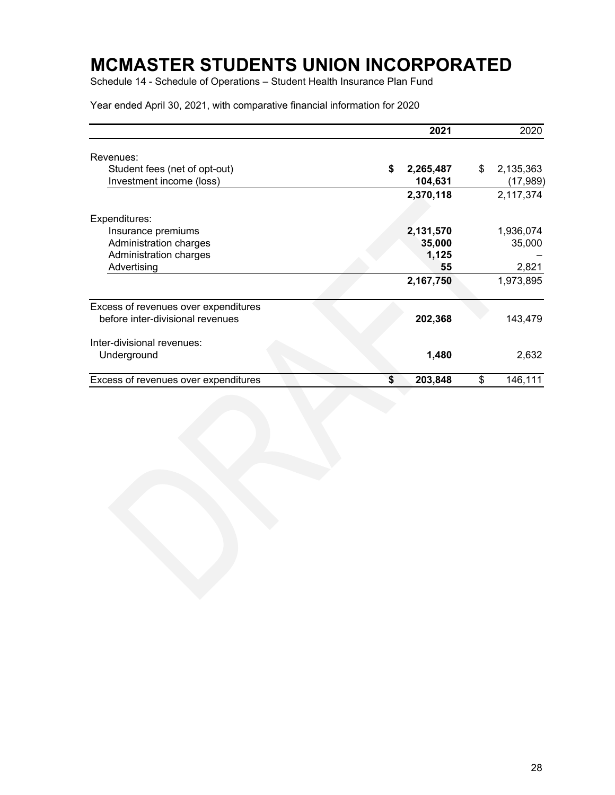Schedule 14 - Schedule of Operations – Student Health Insurance Plan Fund

|                                                           | 2021                       | 2020                        |
|-----------------------------------------------------------|----------------------------|-----------------------------|
| Revenues:                                                 |                            |                             |
| Student fees (net of opt-out)<br>Investment income (loss) | \$<br>2,265,487<br>104,631 | \$<br>2,135,363<br>(17,989) |
|                                                           | 2,370,118                  | 2,117,374                   |
| Expenditures:                                             |                            |                             |
| Insurance premiums                                        | 2,131,570                  | 1,936,074                   |
| Administration charges                                    | 35,000                     | 35,000                      |
| Administration charges                                    | 1,125                      |                             |
| Advertising                                               | 55                         | 2,821                       |
|                                                           | 2,167,750                  | 1,973,895                   |
| Excess of revenues over expenditures                      |                            |                             |
| before inter-divisional revenues                          | 202,368                    | 143,479                     |
| Inter-divisional revenues:                                |                            |                             |
| Underground                                               | 1,480                      | 2,632                       |
| Excess of revenues over expenditures                      | 203,848<br>\$              | \$<br>146,111               |